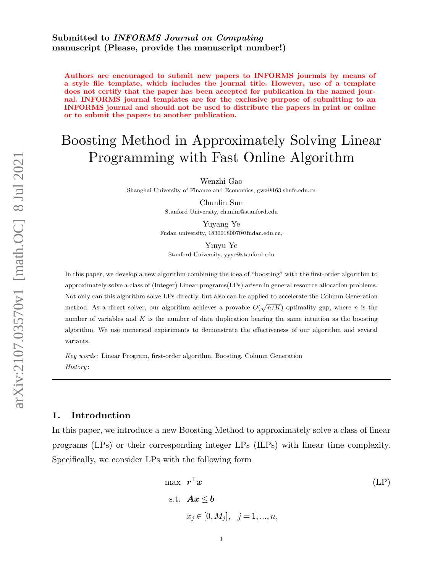## Submitted to INFORMS Journal on Computing manuscript (Please, provide the manuscript number!)

Authors are encouraged to submit new papers to INFORMS journals by means of a style file template, which includes the journal title. However, use of a template does not certify that the paper has been accepted for publication in the named journal. INFORMS journal templates are for the exclusive purpose of submitting to an INFORMS journal and should not be used to distribute the papers in print or online or to submit the papers to another publication.

# Boosting Method in Approximately Solving Linear Programming with Fast Online Algorithm

Wenzhi Gao

Shanghai University of Finance and Economics, gwz@163.shufe.edu.cn

Chunlin Sun Stanford University, chunlin@stanford.edu

Yuyang Ye Fudan university, 18300180070@fudan.edu.cn,

Yinyu Ye

Stanford University, yyye@stanford.edu

In this paper, we develop a new algorithm combining the idea of "boosting" with the first-order algorithm to approximately solve a class of (Integer) Linear programs(LPs) arisen in general resource allocation problems. Not only can this algorithm solve LPs directly, but also can be applied to accelerate the Column Generation method. As a direct solver, our algorithm achieves a provable  $O(\sqrt{n/K})$  optimality gap, where n is the number of variables and  $K$  is the number of data duplication bearing the same intuition as the boosting algorithm. We use numerical experiments to demonstrate the effectiveness of our algorithm and several variants.

Key words : Linear Program, first-order algorithm, Boosting, Column Generation History :

## 1. Introduction

In this paper, we introduce a new Boosting Method to approximately solve a class of linear programs (LPs) or their corresponding integer LPs (ILPs) with linear time complexity. Specifically, we consider LPs with the following form

<span id="page-0-0"></span>
$$
\max \ \mathbf{r}^\top \mathbf{x} \tag{LP}
$$
  
s.t.  $\mathbf{A}\mathbf{x} \le \mathbf{b}$   
 $x_j \in [0, M_j], \quad j = 1, ..., n,$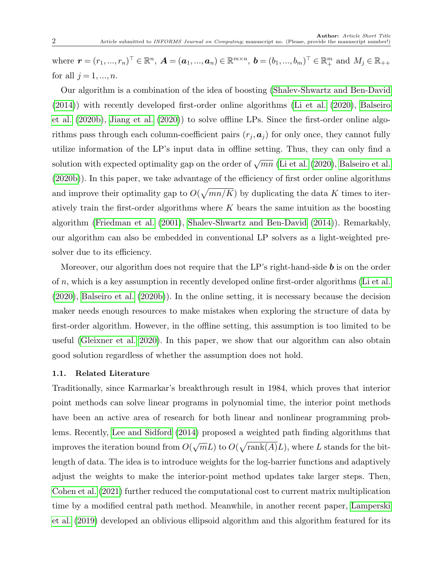where  $\bm{r} = (r_1, ..., r_n)^\top \in \mathbb{R}^n$ ,  $\bm{A} = (\bm{a}_1, ..., \bm{a}_n) \in \mathbb{R}^{m \times n}$ ,  $\bm{b} = (b_1, ..., b_m)^\top \in \mathbb{R}^m_+$  and  $M_j \in \mathbb{R}_{++}$ for all  $j = 1, \ldots, n$ .

Our algorithm is a combination of the idea of boosting [\(Shalev-Shwartz and Ben-David](#page-32-0) [\(2014\)](#page-32-0)) with recently developed first-order online algorithms [\(Li et al.](#page-32-1) [\(2020\)](#page-32-1), [Balseiro](#page-31-0) [et al.](#page-31-0) [\(2020b\)](#page-31-0), [Jiang et al.](#page-32-2) [\(2020\)](#page-32-2)) to solve offline LPs. Since the first-order online algorithms pass through each column-coefficient pairs  $(r_j, a_j)$  for only once, they cannot fully utilize information of the LP's input data in offline setting. Thus, they can only find a solution with expected optimality gap on the order of  $\sqrt{mn}$  [\(Li et al.](#page-32-1) [\(2020\)](#page-32-1), [Balseiro et al.](#page-31-0) [\(2020b\)](#page-31-0)). In this paper, we take advantage of the efficiency of first order online algorithms and improve their optimality gap to  $O(\sqrt{mn/K})$  by duplicating the data K times to iteratively train the first-order algorithms where  $K$  bears the same intuition as the boosting algorithm [\(Friedman et al.](#page-31-1) [\(2001\)](#page-31-1), [Shalev-Shwartz and Ben-David](#page-32-0) [\(2014\)](#page-32-0)). Remarkably, our algorithm can also be embedded in conventional LP solvers as a light-weighted presolver due to its efficiency.

Moreover, our algorithm does not require that the LP's right-hand-side  $\boldsymbol{b}$  is on the order of n, which is a key assumption in recently developed online first-order algorithms [\(Li et al.](#page-32-1)  $(2020)$ , [Balseiro et al.](#page-31-0)  $(2020b)$ ). In the online setting, it is necessary because the decision maker needs enough resources to make mistakes when exploring the structure of data by first-order algorithm. However, in the offline setting, this assumption is too limited to be useful [\(Gleixner et al. 2020\)](#page-31-2). In this paper, we show that our algorithm can also obtain good solution regardless of whether the assumption does not hold.

#### 1.1. Related Literature

Traditionally, since Karmarkar's breakthrough result in 1984, which proves that interior point methods can solve linear programs in polynomial time, the interior point methods have been an active area of research for both linear and nonlinear programming problems. Recently, [Lee and Sidford](#page-32-3) [\(2014\)](#page-32-3) proposed a weighted path finding algorithms that improves the iteration bound from  $O($ √  $\overline{m}L$ ) to  $O(\sqrt{\text{rank}(A)}L)$ , where L stands for the bitlength of data. The idea is to introduce weights for the log-barrier functions and adaptively adjust the weights to make the interior-point method updates take larger steps. Then, [Cohen et al.](#page-31-3) [\(2021\)](#page-31-3) further reduced the computational cost to current matrix multiplication time by a modified central path method. Meanwhile, in another recent paper, [Lamperski](#page-32-4) [et al.](#page-32-4) [\(2019\)](#page-32-4) developed an oblivious ellipsoid algorithm and this algorithm featured for its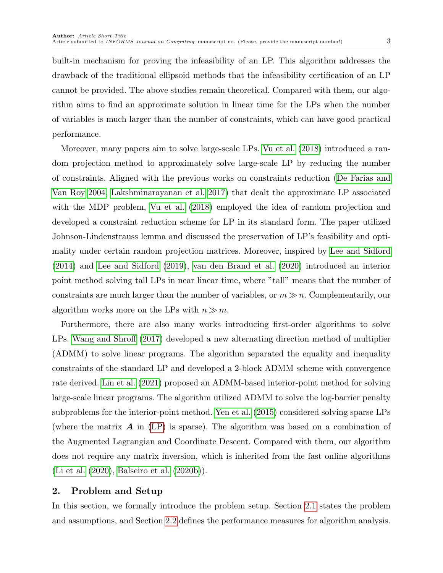built-in mechanism for proving the infeasibility of an LP. This algorithm addresses the drawback of the traditional ellipsoid methods that the infeasibility certification of an LP cannot be provided. The above studies remain theoretical. Compared with them, our algorithm aims to find an approximate solution in linear time for the LPs when the number of variables is much larger than the number of constraints, which can have good practical performance.

Moreover, many papers aim to solve large-scale LPs. [Vu et al.](#page-32-5) [\(2018\)](#page-32-5) introduced a random projection method to approximately solve large-scale LP by reducing the number of constraints. Aligned with the previous works on constraints reduction [\(De Farias and](#page-31-4) [Van Roy 2004,](#page-31-4) [Lakshminarayanan et al. 2017\)](#page-32-6) that dealt the approximate LP associated with the MDP problem, [Vu et al.](#page-32-5) [\(2018\)](#page-32-5) employed the idea of random projection and developed a constraint reduction scheme for LP in its standard form. The paper utilized Johnson-Lindenstrauss lemma and discussed the preservation of LP's feasibility and optimality under certain random projection matrices. Moreover, inspired by [Lee and Sidford](#page-32-3) [\(2014\)](#page-32-3) and [Lee and Sidford](#page-32-7) [\(2019\)](#page-32-7), [van den Brand et al.](#page-32-8) [\(2020\)](#page-32-8) introduced an interior point method solving tall LPs in near linear time, where "tall" means that the number of constraints are much larger than the number of variables, or  $m \gg n$ . Complementarily, our algorithm works more on the LPs with  $n \gg m$ .

Furthermore, there are also many works introducing first-order algorithms to solve LPs. [Wang and Shroff](#page-33-0) [\(2017\)](#page-33-0) developed a new alternating direction method of multiplier (ADMM) to solve linear programs. The algorithm separated the equality and inequality constraints of the standard LP and developed a 2-block ADMM scheme with convergence rate derived. [Lin et al.](#page-32-9) [\(2021\)](#page-32-9) proposed an ADMM-based interior-point method for solving large-scale linear programs. The algorithm utilized ADMM to solve the log-barrier penalty subproblems for the interior-point method. [Yen et al.](#page-33-1) [\(2015\)](#page-33-1) considered solving sparse LPs (where the matrix  $\bm{A}$  in [\(LP\)](#page-0-0) is sparse). The algorithm was based on a combination of the Augmented Lagrangian and Coordinate Descent. Compared with them, our algorithm does not require any matrix inversion, which is inherited from the fast online algorithms [\(Li et al.](#page-32-1) [\(2020\)](#page-32-1), [Balseiro et al.](#page-31-0) [\(2020b\)](#page-31-0)).

## 2. Problem and Setup

In this section, we formally introduce the problem setup. Section [2.1](#page-3-0) states the problem and assumptions, and Section [2.2](#page-3-1) defines the performance measures for algorithm analysis.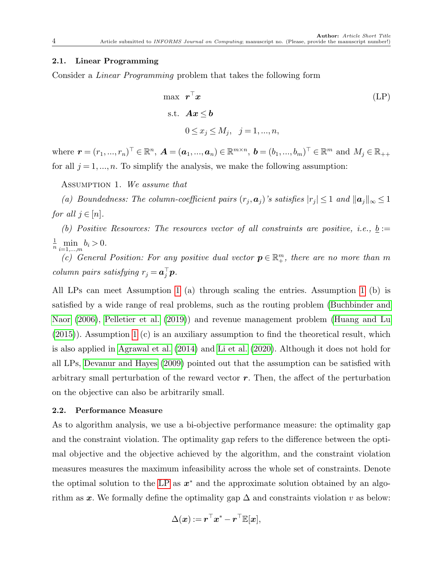#### <span id="page-3-0"></span>2.1. Linear Programming

Consider a Linear Programming problem that takes the following form

<span id="page-3-2"></span>
$$
\max \ \mathbf{r}^{\top}\mathbf{x} \n\text{s.t.} \quad \mathbf{A}\mathbf{x} \leq \mathbf{b} \n0 \leq x_j \leq M_j, \quad j = 1, ..., n,
$$
\n(LP)

where  $\bm{r} = (r_1, ..., r_n)^\top \in \mathbb{R}^n$ ,  $\bm{A} = (\bm{a}_1, ..., \bm{a}_n) \in \mathbb{R}^{m \times n}$ ,  $\bm{b} = (b_1, ..., b_m)^\top \in \mathbb{R}^m$  and  $M_j \in \mathbb{R}_{++}$ for all  $j = 1, ..., n$ . To simplify the analysis, we make the following assumption:

Assumption 1. We assume that

(a) Boundedness: The column-coefficient pairs  $(r_j, a_j)$ 's satisfies  $|r_j| \leq 1$  and  $||a_j||_{\infty} \leq 1$ for all  $j \in [n]$ .

(b) Positive Resources: The resources vector of all constraints are positive, i.e.,  $\underline{b} :=$  $\frac{1}{n} \min_{i=1,...,m} b_i > 0.$ 

(c) General Position: For any positive dual vector  $p \in \mathbb{R}^m_+$ , there are no more than m column pairs satisfying  $r_j = \boldsymbol{a}_j^{\top} \boldsymbol{p}$ .

All LPs can meet Assumption [1](#page-3-2) (a) through scaling the entries. Assumption [1](#page-3-2) (b) is satisfied by a wide range of real problems, such as the routing problem [\(Buchbinder and](#page-31-5) [Naor](#page-31-5) [\(2006\)](#page-31-5), [Pelletier et al.](#page-32-10) [\(2019\)](#page-32-10)) and revenue management problem [\(Huang and Lu](#page-31-6) [\(2015\)](#page-31-6)). Assumption [1](#page-3-2) (c) is an auxiliary assumption to find the theoretical result, which is also applied in [Agrawal et al.](#page-30-0) [\(2014\)](#page-30-0) and [Li et al.](#page-32-1) [\(2020\)](#page-32-1). Although it does not hold for all LPs, [Devanur and Hayes](#page-31-7) [\(2009\)](#page-31-7) pointed out that the assumption can be satisfied with arbitrary small perturbation of the reward vector  $r$ . Then, the affect of the perturbation on the objective can also be arbitrarily small.

#### <span id="page-3-1"></span>2.2. Performance Measure

As to algorithm analysis, we use a bi-objective performance measure: the optimality gap and the constraint violation. The optimality gap refers to the difference between the optimal objective and the objective achieved by the algorithm, and the constraint violation measures measures the maximum infeasibility across the whole set of constraints. Denote the optimal solution to the [LP](#page-0-0) as  $x^*$  and the approximate solution obtained by an algorithm as x. We formally define the optimality gap  $\Delta$  and constraints violation v as below:

$$
\Delta(\boldsymbol{x}) := \boldsymbol{r}^\top \boldsymbol{x}^* - \boldsymbol{r}^\top \mathbb{E}[\boldsymbol{x}],
$$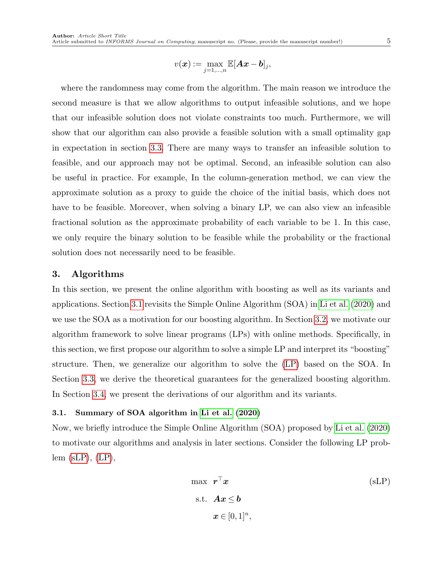$$
5\,
$$

$$
v(\boldsymbol{x}):=\max_{j=1,\dots,n}\mathbb{E}[\boldsymbol{A}\boldsymbol{x}-\boldsymbol{b}]_j,
$$

where the randomness may come from the algorithm. The main reason we introduce the second measure is that we allow algorithms to output infeasible solutions, and we hope that our infeasible solution does not violate constraints too much. Furthermore, we will show that our algorithm can also provide a feasible solution with a small optimality gap in expectation in section [3.3.](#page-13-0) There are many ways to transfer an infeasible solution to feasible, and our approach may not be optimal. Second, an infeasible solution can also be useful in practice. For example, In the column-generation method, we can view the approximate solution as a proxy to guide the choice of the initial basis, which does not have to be feasible. Moreover, when solving a binary LP, we can also view an infeasible fractional solution as the approximate probability of each variable to be 1. In this case, we only require the binary solution to be feasible while the probability or the fractional solution does not necessarily need to be feasible.

#### <span id="page-4-2"></span>3. Algorithms

In this section, we present the online algorithm with boosting as well as its variants and applications. Section [3.1](#page-4-0) revisits the Simple Online Algorithm (SOA) in [Li et al.](#page-32-1) [\(2020\)](#page-32-1) and we use the SOA as a motivation for our boosting algorithm. In Section [3.2,](#page-7-0) we motivate our algorithm framework to solve linear programs (LPs) with online methods. Specifically, in this section, we first propose our algorithm to solve a simple LP and interpret its "boosting" structure. Then, we generalize our algorithm to solve the [\(LP\)](#page-0-0) based on the SOA. In Section [3.3,](#page-13-0) we derive the theoretical guarantees for the generalized boosting algorithm. In Section [3.4,](#page-13-1) we present the derivations of our algorithm and its variants.

#### <span id="page-4-0"></span>3.1. Summary of SOA algorithm in [Li et al.](#page-32-1) [\(2020\)](#page-32-1)

Now, we briefly introduce the Simple Online Algorithm (SOA) proposed by [Li et al.](#page-32-1) [\(2020\)](#page-32-1) to motivate our algorithms and analysis in later sections. Consider the following LP prob $lem$  [\(sLP\)](#page-4-1),  $(LP)$ ,

<span id="page-4-1"></span>
$$
\max \ \mathbf{r}^{\top}\mathbf{x} \tag{sl.P}
$$
  
s.t.  $\mathbf{A}\mathbf{x} \leq \mathbf{b}$   
 $\mathbf{x} \in [0,1]^n$ ,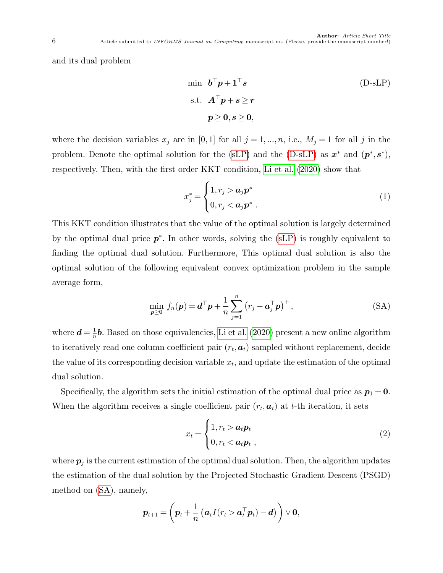and its dual problem

<span id="page-5-0"></span>
$$
\begin{aligned}\n\min \quad & \boldsymbol{b}^{\top} \boldsymbol{p} + \mathbf{1}^{\top} \boldsymbol{s} \\
\text{s.t.} \quad & \boldsymbol{A}^{\top} \boldsymbol{p} + \boldsymbol{s} \geq \boldsymbol{r} \\
&\boldsymbol{p} \geq \boldsymbol{0}, \boldsymbol{s} \geq \boldsymbol{0},\n\end{aligned} \tag{D-sLP}
$$

where the decision variables  $x_j$  are in [0,1] for all  $j = 1, ..., n$ , i.e.,  $M_j = 1$  for all j in the problem. Denote the optimal solution for the [\(sLP\)](#page-4-1) and the [\(D-sLP\)](#page-5-0) as  $x^*$  and  $(p^*, s^*)$ , respectively. Then, with the first order KKT condition, [Li et al.](#page-32-1) [\(2020\)](#page-32-1) show that

<span id="page-5-3"></span><span id="page-5-1"></span>
$$
x_j^* = \begin{cases} 1, r_j > a_j \mathbf{p}^* \\ 0, r_j < a_j \mathbf{p}^* \end{cases} \tag{1}
$$

This KKT condition illustrates that the value of the optimal solution is largely determined by the optimal dual price  $p^*$ . In other words, solving the [\(sLP\)](#page-4-1) is roughly equivalent to finding the optimal dual solution. Furthermore, This optimal dual solution is also the optimal solution of the following equivalent convex optimization problem in the sample average form,

$$
\min_{\mathbf{p}\geq\mathbf{0}} f_n(\mathbf{p}) = \mathbf{d}^\top \mathbf{p} + \frac{1}{n} \sum_{j=1}^n (r_j - \mathbf{a}_j^\top \mathbf{p})^+, \tag{SA}
$$

where  $\boldsymbol{d} = \frac{1}{n}$  $\frac{1}{n}$ **b**. Based on those equivalencies, [Li et al.](#page-32-1) [\(2020\)](#page-32-1) present a new online algorithm to iteratively read one column coefficient pair  $(r_t, a_t)$  sampled without replacement, decide the value of its corresponding decision variable  $x_t$ , and update the estimation of the optimal dual solution.

Specifically, the algorithm sets the initial estimation of the optimal dual price as  $p_1 = 0$ . When the algorithm receives a single coefficient pair  $(r_t, a_t)$  at t-th iteration, it sets

<span id="page-5-2"></span>
$$
x_t = \begin{cases} 1, r_t > a_t p_t \\ 0, r_t < a_t p_t, \end{cases}
$$
 (2)

where  $\boldsymbol{p}_j$  is the current estimation of the optimal dual solution. Then, the algorithm updates the estimation of the dual solution by the Projected Stochastic Gradient Descent (PSGD) method on [\(SA\)](#page-5-1), namely,

$$
\boldsymbol{p}_{t+1} = \left(\boldsymbol{p}_t + \frac{1}{n}\left(\boldsymbol{a}_t I(r_t > \boldsymbol{a}_t^\top \boldsymbol{p}_t) - \boldsymbol{d}\right)\right) \vee \boldsymbol{0},
$$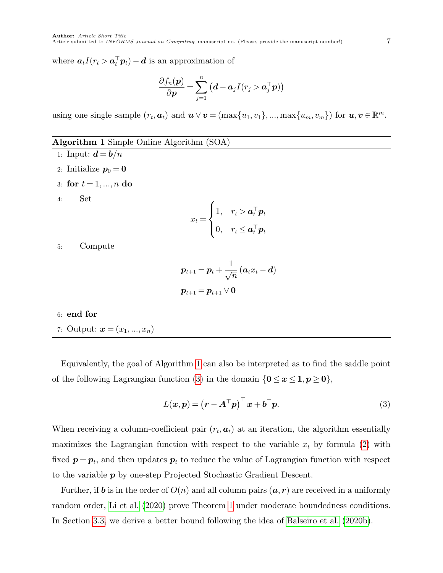where  $a_t I(r_t > a_t^{\top} p_t) - d$  is an approximation of

$$
\frac{\partial f_n(\boldsymbol{p})}{\partial \boldsymbol{p}} = \sum_{j=1}^n \left(\boldsymbol{d} - \boldsymbol{a}_j I(r_j > \boldsymbol{a}_j^\top \boldsymbol{p})\right)
$$

using one single sample  $(r_t, a_t)$  and  $u \vee v = (\max\{u_1, v_1\}, ..., \max\{u_m, v_m\})$  for  $u, v \in \mathbb{R}^m$ .

### <span id="page-6-0"></span>Algorithm 1 Simple Online Algorithm (SOA)

- 1: Input:  $\mathbf{d} = \mathbf{b}/n$
- 2: Initialize  $p_0 = 0$
- 3: for  $t = 1, ..., n$  do
- 4: Set

$$
x_t = \begin{cases} 1, & r_t > \mathbf{a}_t^\top \mathbf{p}_t \\ 0, & r_t \leq \mathbf{a}_t^\top \mathbf{p}_t \end{cases}
$$

5: Compute

$$
\begin{aligned} \boldsymbol{p}_{t+1} &= \boldsymbol{p}_t + \frac{1}{\sqrt{n}} \left(\boldsymbol{a}_t x_t - \boldsymbol{d}\right) \\ \boldsymbol{p}_{t+1} &= \boldsymbol{p}_{t+1} \vee \boldsymbol{0} \end{aligned}
$$

## 6: end for

7: Output:  $\bm{x} = (x_1, ..., x_n)$ 

Equivalently, the goal of Algorithm [1](#page-6-0) can also be interpreted as to find the saddle point of the following Lagrangian function [\(3\)](#page-6-1) in the domain  ${0 \le x \le 1, p \ge 0}$ ,

<span id="page-6-1"></span>
$$
L(\boldsymbol{x}, \boldsymbol{p}) = (\boldsymbol{r} - \boldsymbol{A}^{\top} \boldsymbol{p})^{\top} \boldsymbol{x} + \boldsymbol{b}^{\top} \boldsymbol{p}.
$$
 (3)

When receiving a column-coefficient pair  $(r_t, a_t)$  at an iteration, the algorithm essentially maximizes the Lagrangian function with respect to the variable  $x_t$  by formula [\(2\)](#page-5-2) with fixed  $p = p_t$ , and then updates  $p_t$  to reduce the value of Lagrangian function with respect to the variable p by one-step Projected Stochastic Gradient Descent.

<span id="page-6-2"></span>Further, if **b** is in the order of  $O(n)$  and all column pairs  $(a, r)$  are received in a uniformly random order, [Li et al.](#page-32-1) [\(2020\)](#page-32-1) prove Theorem [1](#page-6-2) under moderate boundedness conditions. In Section [3.3,](#page-13-0) we derive a better bound following the idea of [Balseiro et al.](#page-31-0) [\(2020b\)](#page-31-0).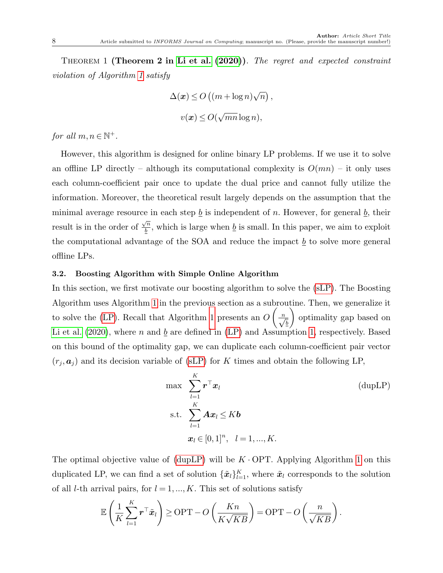Theorem 1 (Theorem 2 in [Li et al.](#page-32-1) [\(2020\)](#page-32-1)). The regret and expected constraint violation of Algorithm [1](#page-6-0) satisfy

$$
\Delta(\boldsymbol{x}) \le O\left((m + \log n)\sqrt{n}\right),\,
$$
  

$$
v(\boldsymbol{x}) \le O(\sqrt{mn}\log n),
$$

for all  $m, n \in \mathbb{N}^+$ .

However, this algorithm is designed for online binary LP problems. If we use it to solve an offline LP directly – although its computational complexity is  $O(mn)$  – it only uses each column-coefficient pair once to update the dual price and cannot fully utilize the information. Moreover, the theoretical result largely depends on the assumption that the minimal average resource in each step  $\underline{b}$  is independent of n. However, for general  $\underline{b}$ , their result is in the order of  $\sqrt{n}$  $\frac{\partial h}{\partial b}$ , which is large when  $\underline{b}$  is small. In this paper, we aim to exploit the computational advantage of the SOA and reduce the impact  $\underline{b}$  to solve more general offline LPs.

#### <span id="page-7-0"></span>3.2. Boosting Algorithm with Simple Online Algorithm

In this section, we first motivate our boosting algorithm to solve the [\(sLP\)](#page-4-1). The Boosting Algorithm uses Algorithm [1](#page-6-0) in the previous section as a subroutine. Then, we generalize it to solve the [\(LP\)](#page-0-0). Recall that Algorithm [1](#page-6-0) presents an O  $\left(\frac{n}{\sqrt{b}}\right)$  $\setminus$ optimality gap based on [Li et al.](#page-32-1) [\(2020\)](#page-32-1), where n and b are defined in  $(LP)$  and Assumption [1,](#page-3-2) respectively. Based on this bound of the optimality gap, we can duplicate each column-coefficient pair vector  $(r_j, a_j)$  and its decision variable of [\(sLP\)](#page-4-1) for K times and obtain the following LP,

<span id="page-7-1"></span>
$$
\max \sum_{l=1}^{K} \boldsymbol{r}^{\top} \boldsymbol{x}_{l}
$$
\n
$$
\text{s.t.} \sum_{l=1}^{K} \boldsymbol{A} \boldsymbol{x}_{l} \leq K \boldsymbol{b}
$$
\n
$$
\boldsymbol{x}_{l} \in [0, 1]^{n}, \quad l = 1, ..., K.
$$
\n(dupLP)

The optimal objective value of [\(dupLP\)](#page-7-1) will be  $K \cdot \text{OPT}$ . Applying Algorithm [1](#page-6-0) on this duplicated LP, we can find a set of solution  $\{\tilde{x}_l\}_{l=1}^K$ , where  $\tilde{x}_l$  corresponds to the solution of all *l*-th arrival pairs, for  $l = 1, ..., K$ . This set of solutions satisfy

$$
\mathbb{E}\left(\frac{1}{K}\sum_{l=1}^{K} \mathbf{r}^{\top} \tilde{\mathbf{x}}_l\right) \ge \text{OPT} - O\left(\frac{Kn}{K\sqrt{KB}}\right) = \text{OPT} - O\left(\frac{n}{\sqrt{KB}}\right).
$$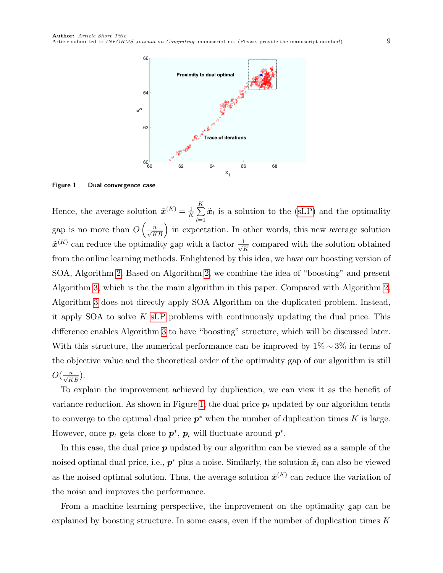

<span id="page-8-0"></span>Figure 1 Dual convergence case

Hence, the average solution  $\tilde{\boldsymbol{x}}^{(K)} = \frac{1}{K}$  $\frac{1}{K}\sum_{i=1}^{K}$  $_{l=1}$  $\tilde{x}_l$  is a solution to the [\(sLP\)](#page-4-1) and the optimality gap is no more than  $O\left(\frac{n}{\sqrt{KB}}\right)$  in expectation. In other words, this new average solution  $\tilde{\mathbf{x}}^{(K)}$  can reduce the optimality gap with a factor  $\frac{1}{\sqrt{2}}$  $\frac{L}{\overline{K}}$  compared with the solution obtained from the online learning methods. Enlightened by this idea, we have our boosting version of SOA, Algorithm [2.](#page-9-0) Based on Algorithm [2,](#page-9-0) we combine the idea of "boosting" and present Algorithm [3,](#page-10-0) which is the the main algorithm in this paper. Compared with Algorithm [2,](#page-9-0) Algorithm [3](#page-10-0) does not directly apply SOA Algorithm on the duplicated problem. Instead, it apply SOA to solve K [sLP](#page-4-1) problems with continuously updating the dual price. This difference enables Algorithm [3](#page-10-0) to have "boosting" structure, which will be discussed later. With this structure, the numerical performance can be improved by  $1\% \sim 3\%$  in terms of the objective value and the theoretical order of the optimality gap of our algorithm is still  $O(\frac{n}{\sqrt{KB}}).$ 

To explain the improvement achieved by duplication, we can view it as the benefit of variance reduction. As shown in Figure [1,](#page-8-0) the dual price  $p_t$  updated by our algorithm tends to converge to the optimal dual price  $p^*$  when the number of duplication times K is large. However, once  $p_t$  gets close to  $p^*$ ,  $p_t$  will fluctuate around  $p^*$ .

In this case, the dual price  $p$  updated by our algorithm can be viewed as a sample of the noised optimal dual price, i.e.,  $p^*$  plus a noise. Similarly, the solution  $\tilde{x}_l$  can also be viewed as the noised optimal solution. Thus, the average solution  $\tilde{\boldsymbol{x}}^{(K)}$  can reduce the variation of the noise and improves the performance.

From a machine learning perspective, the improvement on the optimality gap can be explained by boosting structure. In some cases, even if the number of duplication times  $K$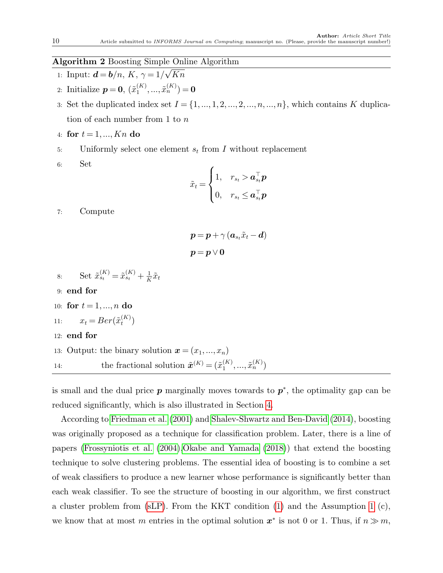#### <span id="page-9-0"></span>Algorithm 2 Boosting Simple Online Algorithm  $\frac{1}{\sqrt{2}}$

- 1: Input:  $\mathbf{d} = \mathbf{b}/n, K, \gamma = 1/2$ Kn
- 2: Initialize  $p=0, \, (\tilde{x}_1^{(K)})$  $\tilde{x}_1^{(K)},...,\tilde{x}_n^{(K)}$ ) = 0
- 3: Set the duplicated index set  $I = \{1, ..., 1, 2, ..., 2, ..., n, ..., n\}$ , which contains K duplication of each number from 1 to n
- 4: for  $t = 1, ..., Kn$  do
- 5: Uniformly select one element  $s_t$  from I without replacement
- 6: Set

$$
\tilde{x}_t = \begin{cases} 1, & r_{s_t} > \boldsymbol{a}_{s_t}^{\top} \boldsymbol{p} \\ 0, & r_{s_t} \leq \boldsymbol{a}_{s_t}^{\top} \boldsymbol{p} \end{cases}
$$

7: Compute

$$
\begin{aligned} \boldsymbol{\mathcal{p}}&=\boldsymbol{p}+\gamma\left(\boldsymbol{a}_{s_t}\tilde{x}_t-\boldsymbol{d}\right)\\ \boldsymbol{p}&=\boldsymbol{p}\vee\boldsymbol{0} \end{aligned}
$$

8: Set  $\tilde{x}_{s_t}^{(K)} = \tilde{x}_{s_t}^{(K)} + \frac{1}{K}$  $\frac{1}{K} \tilde{x}_t$ 9: end for 10: for  $t = 1, ..., n$  do 11:  $x_t = Ber(\tilde{x}_t^{(K)})$  $\binom{(\mathbf{A})}{t}$ 12: end for 13: Output: the binary solution  $\mathbf{x} = (x_1, ..., x_n)$ 14: the fractional solution  $\tilde{\boldsymbol{x}}^{(K)} = (\tilde{x}_1^{(K)})$  $\tilde{x}_{1}^{(K)},...,\tilde{x}_{n}^{(K)})$ 

is small and the dual price  $p$  marginally moves towards to  $p^*$ , the optimality gap can be reduced significantly, which is also illustrated in Section [4.](#page-19-0)

According to [Friedman et al.](#page-31-1) [\(2001\)](#page-31-1) and [Shalev-Shwartz and Ben-David](#page-32-0) [\(2014\)](#page-32-0), boosting was originally proposed as a technique for classification problem. Later, there is a line of papers [\(Frossyniotis et al.](#page-31-8) [\(2004\)](#page-31-8)[,Okabe and Yamada](#page-32-11) [\(2018\)](#page-32-11)) that extend the boosting technique to solve clustering problems. The essential idea of boosting is to combine a set of weak classifiers to produce a new learner whose performance is significantly better than each weak classifier. To see the structure of boosting in our algorithm, we first construct a cluster problem from  $(sLP)$ . From the KKT condition [\(1\)](#page-5-3) and the Assumption [1](#page-3-2) (c), we know that at most m entries in the optimal solution  $x^*$  is not 0 or 1. Thus, if  $n \gg m$ ,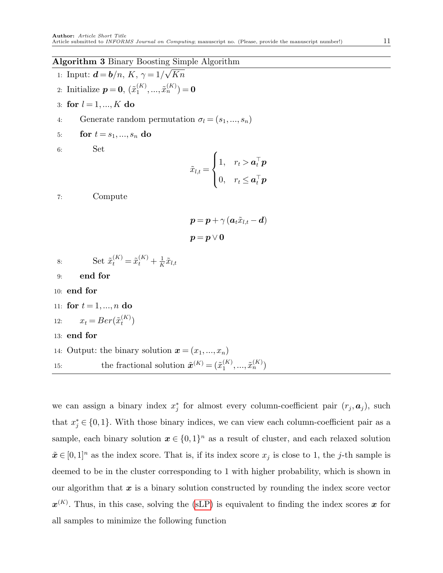#### <span id="page-10-0"></span>Algorithm 3 Binary Boosting Simple Algorithm √

- 1: Input:  $\mathbf{d} = \mathbf{b}/n, K, \gamma = 1/2$ Kn
- 2: Initialize  $p=0, \, (\tilde{x}_1^{(K)})$  $\tilde{x}_1^{(K)},...,\tilde{x}_n^{(K)}$ ) = 0
- 3: for  $l = 1, ..., K$  do
- 4: Generate random permutation  $\sigma_l = (s_1, ..., s_n)$
- 5: **for**  $t = s_1, ..., s_n$  do
- 6: Set

$$
\tilde{x}_{l,t} = \begin{cases} 1, & r_t > \boldsymbol{a}_t^\top \boldsymbol{p} \\ 0, & r_t \leq \boldsymbol{a}_t^\top \boldsymbol{p} \end{cases}
$$

7: Compute

$$
\begin{aligned} \boldsymbol{\mathcal{p}}&=\boldsymbol{p}+\gamma\left(\boldsymbol{a}_t\tilde{x}_{l,t}-\boldsymbol{d}\right)\\ \boldsymbol{p}&=\boldsymbol{p}\vee\boldsymbol{0} \end{aligned}
$$

- 8: Set  $\tilde{x}_{t}^{(K)} = \tilde{x}_{t}^{(K)} + \frac{1}{K}$  $\frac{1}{K} \tilde{x}_{l,t}$
- 9: end for
- 10: end for
- 11: for  $t = 1, ..., n$  do
- 12:  $x_t = Ber(\tilde{x}_t^{(K)})$  $\binom{(\mathbf{A})}{t}$
- 13: end for
- 14: Output: the binary solution  $\mathbf{x} = (x_1, ..., x_n)$ 15: the fractional solution  $\tilde{\boldsymbol{x}}^{(K)} = (\tilde{x}_1^{(K)})$  $\tilde{x}_{1}^{(K)},...,\tilde{x}_{n}^{(K)})$

we can assign a binary index  $x_j^*$  for almost every column-coefficient pair  $(r_j, a_j)$ , such that  $x_j^* \in \{0,1\}$ . With those binary indices, we can view each column-coefficient pair as a sample, each binary solution  $x \in \{0,1\}^n$  as a result of cluster, and each relaxed solution  $\tilde{x} \in [0,1]^n$  as the index score. That is, if its index score  $x_j$  is close to 1, the j-th sample is deemed to be in the cluster corresponding to 1 with higher probability, which is shown in our algorithm that  $x$  is a binary solution constructed by rounding the index score vector  $\mathbf{x}^{(K)}$ . Thus, in this case, solving the [\(sLP\)](#page-4-1) is equivalent to finding the index scores x for all samples to minimize the following function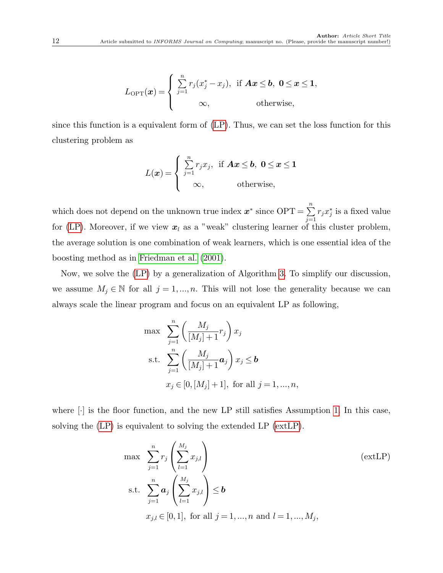$$
L_{\text{OPT}}(\boldsymbol{x}) = \begin{cases} \sum_{j=1}^{n} r_j (x_j^* - x_j), & \text{if } \boldsymbol{A} \boldsymbol{x} \leq \boldsymbol{b}, \ \boldsymbol{0} \leq \boldsymbol{x} \leq \boldsymbol{1}, \\ \infty, & \text{otherwise}, \end{cases}
$$

since this function is a equivalent form of [\(LP\)](#page-0-0). Thus, we can set the loss function for this clustering problem as

$$
L(\boldsymbol{x}) = \begin{cases} \sum_{j=1}^{n} r_j x_j, & \text{if } \boldsymbol{A}\boldsymbol{x} \leq \boldsymbol{b}, \ 0 \leq \boldsymbol{x} \leq \boldsymbol{1} \\ \infty, & \text{otherwise}, \end{cases}
$$

which does not depend on the unknown true index  $x^*$  since  $\text{OPT} = \sum_{n=1}^n$  $j=1$  $r_j x_j^*$  is a fixed value for [\(LP\)](#page-0-0). Moreover, if we view  $x_l$  as a "weak" clustering learner of this cluster problem, the average solution is one combination of weak learners, which is one essential idea of the boosting method as in [Friedman et al.](#page-31-1) [\(2001\)](#page-31-1).

Now, we solve the [\(LP\)](#page-0-0) by a generalization of Algorithm [3.](#page-10-0) To simplify our discussion, we assume  $M_j \in \mathbb{N}$  for all  $j = 1, ..., n$ . This will not lose the generality because we can always scale the linear program and focus on an equivalent LP as following,

$$
\max \sum_{j=1}^{n} \left( \frac{M_j}{[M_j] + 1} r_j \right) x_j
$$
\n
$$
\text{s.t. } \sum_{j=1}^{n} \left( \frac{M_j}{[M_j] + 1} a_j \right) x_j \le b
$$
\n
$$
x_j \in [0, [M_j] + 1], \text{ for all } j = 1, \dots, n,
$$

where  $\lbrack \cdot \rbrack$  is the floor function, and the new LP still satisfies Assumption [1.](#page-3-2) In this case, solving the [\(LP\)](#page-0-0) is equivalent to solving the extended LP [\(extLP\)](#page-11-0).

<span id="page-11-0"></span>
$$
\max \sum_{j=1}^{n} r_j \left( \sum_{l=1}^{M_j} x_{j,l} \right)
$$
\n
$$
\text{s.t. } \sum_{j=1}^{n} a_j \left( \sum_{l=1}^{M_j} x_{j,l} \right) \le b
$$
\n
$$
x_{j,l} \in [0, 1], \text{ for all } j = 1, ..., n \text{ and } l = 1, ..., M_j,
$$
\n
$$
(ext{LP})
$$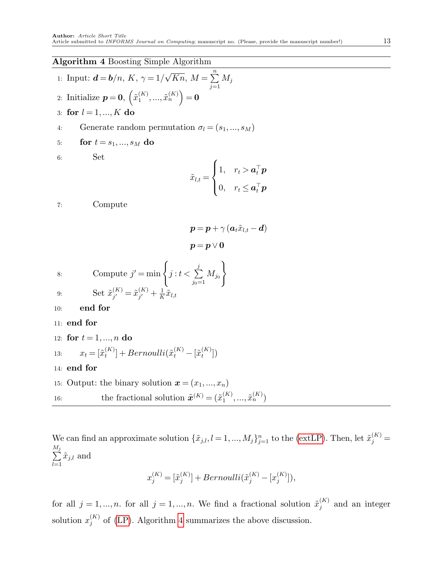# <span id="page-12-0"></span>Algorithm 4 Boosting Simple Algorithm

\n- 1: Input: 
$$
\mathbf{d} = \mathbf{b}/n
$$
,  $K$ ,  $\gamma = 1/\sqrt{Kn}$ ,  $M = \sum_{j=1}^{n} M_j$
\n- 2: Initialize  $\mathbf{p} = \mathbf{0}$ ,  $\left(\tilde{x}_1^{(K)}, \ldots, \tilde{x}_n^{(K)}\right) = \mathbf{0}$
\n- 3: **for**  $l = 1, \ldots, K$  **do**
\n- 4: Generate random permutation  $\sigma_l = (s_1, \ldots, s_M)$
\n

5: for 
$$
t = s_1, ..., s_M
$$
 do

6: Set

$$
\tilde{x}_{l,t} = \begin{cases} 1, & r_t > \mathbf{a}_t^\top \mathbf{p} \\ 0, & r_t \leq \mathbf{a}_t^\top \mathbf{p} \end{cases}
$$

7: Compute

$$
\boldsymbol{p} = \boldsymbol{p} + \gamma \left(\boldsymbol{a}_t \tilde{x}_{l,t} - \boldsymbol{d}\right)
$$
  

$$
\boldsymbol{p} = \boldsymbol{p} \vee \boldsymbol{0}
$$

8: Compute 
$$
j' = \min \left\{ j : t < \sum_{j_0=1}^j M_{j_0} \right\}
$$
  
\n9: Set  $\tilde{x}_{j'}^{(K)} = \tilde{x}_{j'}^{(K)} + \frac{1}{K} \tilde{x}_{l,t}$   
\n10: end for  
\n11: end for  
\n12: for  $t = 1, ..., n$  do  
\n13:  $x_t = [\tilde{x}_t^{(K)}] + Bernoulli(\tilde{x}_t^{(K)} - [\tilde{x}_t^{(K)}])$ 

- 14: end for
- 15: Output: the binary solution  $\mathbf{x} = (x_1, ..., x_n)$ 16: the fractional solution  $\tilde{\boldsymbol{x}}^{(K)} = (\tilde{x}_1^{(K)})$  $\tilde{x}_{1}^{(K)},...,\tilde{x}_{n}^{(K)})$

We can find an approximate solution  $\{\tilde{x}_{j,l}, l = 1, ..., M_j\}_{j=1}^n$  to the [\(extLP\)](#page-11-0). Then, let  $\tilde{x}_j^{(K)}$  =  $\sum$  $M_j$  $_{l=1}$  $\tilde{x}_{j,l}$  and

$$
x^{(K)}_j=[\tilde{x}^{(K)}_j]+Bernoulli(\tilde{x}^{(K)}_j-[x^{(K)}_j]),
$$

for all  $j = 1, ..., n$ . for all  $j = 1, ..., n$ . We find a fractional solution  $\tilde{x}_i^{(K)}$  $j^{(K)}$  and an integer solution  $x_i^{(K)}$  $j_j^{(K)}$  of [\(LP\)](#page-0-0). Algorithm [4](#page-12-0) summarizes the above discussion.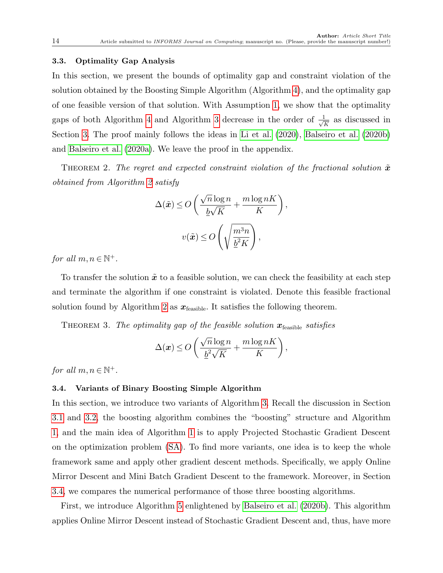#### <span id="page-13-0"></span>3.3. Optimality Gap Analysis

In this section, we present the bounds of optimality gap and constraint violation of the solution obtained by the Boosting Simple Algorithm (Algorithm [4\)](#page-12-0), and the optimality gap of one feasible version of that solution. With Assumption [1,](#page-3-2) we show that the optimality gaps of both Algorithm [4](#page-12-0) and Algorithm [3](#page-10-0) decrease in the order of  $\frac{1}{\sqrt{2}}$  $\frac{1}{\overline{K}}$  as discussed in Section [3.](#page-4-2) The proof mainly follows the ideas in [Li et al.](#page-32-1) [\(2020\)](#page-32-1), [Balseiro et al.](#page-31-0) [\(2020b\)](#page-31-0) and [Balseiro et al.](#page-31-9) [\(2020a\)](#page-31-9). We leave the proof in the appendix.

<span id="page-13-3"></span>THEOREM 2. The regret and expected constraint violation of the fractional solution  $\tilde{x}$ obtained from Algorithm [2](#page-9-0) satisfy

$$
\Delta(\tilde{x}) \le O\left(\frac{\sqrt{n}\log n}{\underline{b}\sqrt{K}} + \frac{m\log nK}{K}\right),\,
$$
  

$$
v(\tilde{x}) \le O\left(\sqrt{\frac{m^3n}{\underline{b}^2K}}\right),
$$

for all  $m, n \in \mathbb{N}^+$ .

To transfer the solution  $\tilde{x}$  to a feasible solution, we can check the feasibility at each step and terminate the algorithm if one constraint is violated. Denote this feasible fractional solution found by Algorithm [2](#page-9-0) as  $x_{\text{feasible}}$ . It satisfies the following theorem.

<span id="page-13-2"></span>THEOREM 3. The optimality gap of the feasible solution  $\mathbf{x}_{\text{feasible}}$  satisfies

$$
\Delta(\boldsymbol{x}) \le O\left(\frac{\sqrt{n}\log n}{\underline{b}^2\sqrt{K}} + \frac{m\log nK}{K}\right),\,
$$

for all  $m, n \in \mathbb{N}^+$ .

#### <span id="page-13-1"></span>3.4. Variants of Binary Boosting Simple Algorithm

In this section, we introduce two variants of Algorithm [3.](#page-10-0) Recall the discussion in Section [3.1](#page-4-0) and [3.2,](#page-7-0) the boosting algorithm combines the "boosting" structure and Algorithm [1,](#page-6-0) and the main idea of Algorithm [1](#page-6-0) is to apply Projected Stochastic Gradient Descent on the optimization problem [\(SA\)](#page-5-1). To find more variants, one idea is to keep the whole framework same and apply other gradient descent methods. Specifically, we apply Online Mirror Descent and Mini Batch Gradient Descent to the framework. Moreover, in Section [3.4,](#page-13-1) we compares the numerical performance of those three boosting algorithms.

First, we introduce Algorithm [5](#page-15-0) enlightened by [Balseiro et al.](#page-31-0) [\(2020b\)](#page-31-0). This algorithm applies Online Mirror Descent instead of Stochastic Gradient Descent and, thus, have more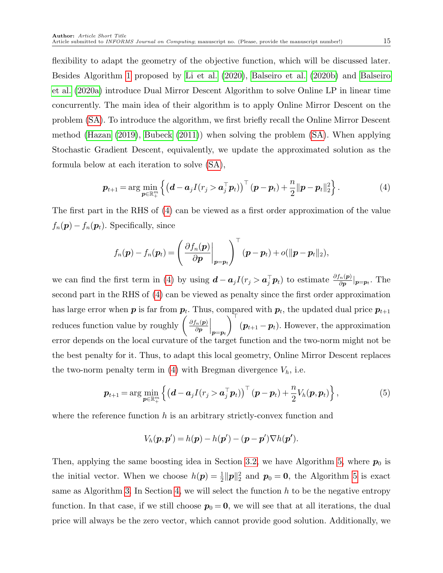flexibility to adapt the geometry of the objective function, which will be discussed later. Besides Algorithm [1](#page-6-0) proposed by [Li et al.](#page-32-1) [\(2020\)](#page-32-1), [Balseiro et al.](#page-31-0) [\(2020b\)](#page-31-0) and [Balseiro](#page-31-9) [et al.](#page-31-9) [\(2020a\)](#page-31-9) introduce Dual Mirror Descent Algorithm to solve Online LP in linear time concurrently. The main idea of their algorithm is to apply Online Mirror Descent on the problem [\(SA\)](#page-5-1). To introduce the algorithm, we first briefly recall the Online Mirror Descent method [\(Hazan](#page-31-10) [\(2019\)](#page-31-10), [Bubeck](#page-31-11) [\(2011\)](#page-31-11)) when solving the problem [\(SA\)](#page-5-1). When applying Stochastic Gradient Descent, equivalently, we update the approximated solution as the formula below at each iteration to solve [\(SA\)](#page-5-1),

$$
\boldsymbol{p}_{t+1} = \arg\min_{\boldsymbol{p}\in\mathbb{R}_+^m} \left\{ \left( \boldsymbol{d} - \boldsymbol{a}_j I(r_j > \boldsymbol{a}_j^\top \boldsymbol{p}_t) \right)^\top (\boldsymbol{p} - \boldsymbol{p}_t) + \frac{n}{2} \|\boldsymbol{p} - \boldsymbol{p}_t\|_2^2 \right\}.
$$
 (4)

The first part in the RHS of [\(4\)](#page-14-0) can be viewed as a first order approximation of the value  $f_n(\mathbf{p}) - f_n(\mathbf{p}_t)$ . Specifically, since

<span id="page-14-0"></span>
$$
f_n(\boldsymbol{p}) - f_n(\boldsymbol{p}_t) = \left(\left.\frac{\partial f_n(\boldsymbol{p})}{\partial \boldsymbol{p}}\right|_{\boldsymbol{p}=\boldsymbol{p}_t}\right)^{\top} (\boldsymbol{p}-\boldsymbol{p}_t) + o(\|\boldsymbol{p}-\boldsymbol{p}_t\|_2),
$$

we can find the first term in [\(4\)](#page-14-0) by using  $\mathbf{d} - \mathbf{a}_j I(r_j > \mathbf{a}_j^{\top} \mathbf{p}_t)$  to estimate  $\frac{\partial f_n(\mathbf{p})}{\partial \mathbf{p}}|_{\mathbf{p} = \mathbf{p}_t}$ . The second part in the RHS of [\(4\)](#page-14-0) can be viewed as penalty since the first order approximation has large error when  $p$  is far from  $p_t$ . Thus, compared with  $p_t$ , the updated dual price  $p_{t+1}$ reduces function value by roughly  $\left(\frac{\partial f_n(p)}{\partial p}\right)$ ∂p  $\Big\vert_{\bm p=\bm p_t}$  $\bigwedge^\top$  $(p_{t+1} - p_t)$ . However, the approximation error depends on the local curvature of the target function and the two-norm might not be the best penalty for it. Thus, to adapt this local geometry, Online Mirror Descent replaces the two-norm penalty term in [\(4\)](#page-14-0) with Bregman divergence  $V_h$ , i.e.

$$
\boldsymbol{p}_{t+1} = \arg\min_{\boldsymbol{p}\in\mathbb{R}^m_+} \left\{ \left( \boldsymbol{d} - \boldsymbol{a}_j I(r_j > \boldsymbol{a}_j^\top \boldsymbol{p}_t) \right)^\top (\boldsymbol{p} - \boldsymbol{p}_t) + \frac{n}{2} V_h(\boldsymbol{p}, \boldsymbol{p}_t) \right\},\tag{5}
$$

where the reference function h is an arbitrary strictly-convex function and

$$
V_h(\mathbf{p},\mathbf{p}') = h(\mathbf{p}) - h(\mathbf{p}') - (\mathbf{p} - \mathbf{p}') \nabla h(\mathbf{p}').
$$

Then, applying the same boosting idea in Section [3.2,](#page-7-0) we have Algorithm [5,](#page-15-0) where  $p_0$  is the initial vector. When we choose  $h(p) = \frac{1}{2} ||p||_2^2$  and  $p_0 = 0$ , the Algorithm [5](#page-15-0) is exact same as Algorithm [3.](#page-10-0) In Section [4,](#page-19-0) we will select the function  $h$  to be the negative entropy function. In that case, if we still choose  $p_0 = 0$ , we will see that at all iterations, the dual price will always be the zero vector, which cannot provide good solution. Additionally, we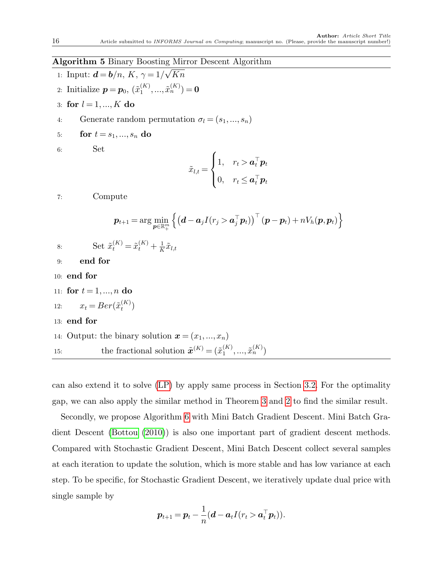#### <span id="page-15-0"></span>Algorithm 5 Binary Boosting Mirror Descent Algorithm √

- 1: Input:  $\mathbf{d} = \mathbf{b}/n, K, \gamma = 1/2$ Kn
- 2: Initialize  $p = p_0, \, (\tilde{x}_1^{(K)})$  $\tilde{x}_1^{(K)},...,\tilde{x}_n^{(K)}$ ) = 0
- 3: for  $l = 1, ..., K$  do
- 4: Generate random permutation  $\sigma_l = (s_1, ..., s_n)$
- 5: **for**  $t = s_1, ..., s_n$  do

```
6: Set
```

$$
\tilde{x}_{l,t} = \begin{cases} 1, & r_t > \boldsymbol{a}_t^{\top} \boldsymbol{p}_t \\ 0, & r_t \leq \boldsymbol{a}_t^{\top} \boldsymbol{p}_t \end{cases}
$$

7: Compute

$$
\boldsymbol{p}_{t+1} = \arg\min_{\boldsymbol{p}\in\mathbb{R}_+^m} \left\{ \left( \boldsymbol{d} - \boldsymbol{a}_j I(r_j > \boldsymbol{a}_j^\top \boldsymbol{p}_t) \right)^\top (\boldsymbol{p} - \boldsymbol{p}_t) + n V_h(\boldsymbol{p}, \boldsymbol{p}_t) \right\}
$$

$$
8 \mathbin{:}
$$

8: Set 
$$
\tilde{x}_t^{(K)} = \tilde{x}_t^{(K)} + \frac{1}{K}\tilde{x}_{l,t}
$$

- 9: end for
- 10: end for

11: for 
$$
t = 1, ..., n
$$
 do

- 12:  $x_t = Ber(\tilde{x}_t^{(K)})$  $\binom{(\mathbf{A})}{t}$
- 13: end for
- 14: Output: the binary solution  $\mathbf{x} = (x_1, ..., x_n)$ 15: the fractional solution  $\tilde{\boldsymbol{x}}^{(K)} = (\tilde{x}_1^{(K)})$  $\tilde{x}_{1}^{(K)},...,\tilde{x}_{n}^{(K)}$

can also extend it to solve [\(LP\)](#page-0-0) by apply same process in Section [3.2.](#page-7-0) For the optimality gap, we can also apply the similar method in Theorem [3](#page-13-2) and [2](#page-13-3) to find the similar result.

Secondly, we propose Algorithm [6](#page-16-0) with Mini Batch Gradient Descent. Mini Batch Gradient Descent [\(Bottou](#page-31-12) [\(2010\)](#page-31-12)) is also one important part of gradient descent methods. Compared with Stochastic Gradient Descent, Mini Batch Descent collect several samples at each iteration to update the solution, which is more stable and has low variance at each step. To be specific, for Stochastic Gradient Descent, we iteratively update dual price with single sample by

$$
\boldsymbol{p}_{t+1} = \boldsymbol{p}_t - \frac{1}{n}(\boldsymbol{d} - \boldsymbol{a}_t I(r_t > \boldsymbol{a}_t^\top \boldsymbol{p}_t)).
$$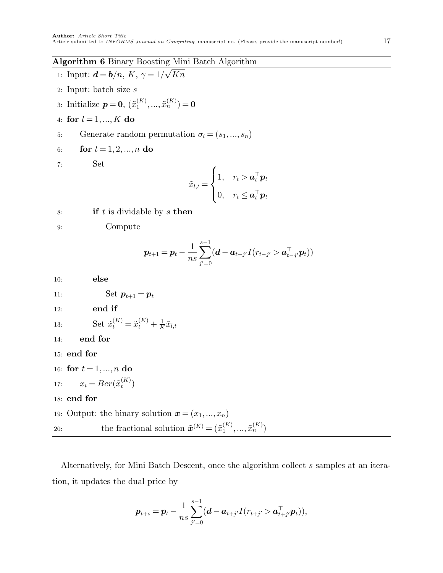# <span id="page-16-0"></span>Algorithm 6 Binary Boosting Mini Batch Algorithm √

1: Input: 
$$
\mathbf{d} = \mathbf{b}/n
$$
,  $K$ ,  $\gamma = 1/\sqrt{Kn}$ 

- 2: Input: batch size s
- 3: Initialize  $p=0, \, (\tilde{x}_1^{(K)})$  $\tilde{x}_1^{(K)},...,\tilde{x}_n^{(K)}$ ) = 0
- 4: for  $l = 1, ..., K$  do
- 5: Generate random permutation  $\sigma_l = (s_1, ..., s_n)$

6: for 
$$
t = 1, 2, ..., n
$$
 do

$$
7: \hspace{20pt} \textbf{Set}
$$

$$
\tilde{x}_{l,t} = \begin{cases} 1, & r_t > \boldsymbol{a}_t^\top \boldsymbol{p}_t \\ 0, & r_t \leq \boldsymbol{a}_t^\top \boldsymbol{p}_t \end{cases}
$$

8: **if**  $t$  is dividable by  $s$  then

9: Compute

$$
\bm{p}_{t+1} = \bm{p}_{t} - \frac{1}{ns}\sum_{j'=0}^{s-1}(\bm{d}-\bm{a}_{t-j'}I(r_{t-j'}>\bm{a}_{t-j'}^\top\bm{p}_t))
$$

```
10: else
11: Set p_{t+1} = p_t12: end if
13: Set \tilde{x}_t^{(K)} = \tilde{x}_t^{(K)} + \frac{1}{K}\frac{1}{K} \tilde{x}_{l,t}14: end for
15: end for
16: for t = 1, ..., n do
17: x_t = Ber(\tilde{x}_t^{(K)})\binom{K}{t}18: end for
19: Output: the binary solution \mathbf{x} = (x_1, ..., x_n)20: the fractional solution \tilde{\boldsymbol{x}}^{(K)} = (\tilde{x}_1^{(K)})\tilde{x}_{1}^{(K)},...,\tilde{x}_{n}^{(K)}
```
Alternatively, for Mini Batch Descent, once the algorithm collect s samples at an iteration, it updates the dual price by

$$
\boldsymbol{p}_{t+s} = \boldsymbol{p}_t - \frac{1}{ns}\sum_{j'=0}^{s-1} (\boldsymbol{d} - \boldsymbol{a}_{t+j'} I(r_{t+j'} > \boldsymbol{a}_{t+j'}^\top \boldsymbol{p}_t)),
$$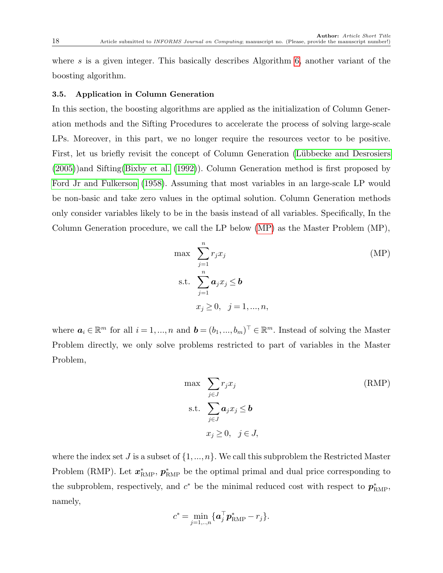where  $s$  is a given integer. This basically describes Algorithm [6,](#page-16-0) another variant of the boosting algorithm.

#### <span id="page-17-2"></span>3.5. Application in Column Generation

In this section, the boosting algorithms are applied as the initialization of Column Generation methods and the Sifting Procedures to accelerate the process of solving large-scale LPs. Moreover, in this part, we no longer require the resources vector to be positive. First, let us briefly revisit the concept of Column Generation (Lübbecke and Desrosiers [\(2005\)](#page-32-12))and Sifting[\(Bixby et al.](#page-31-13) [\(1992\)](#page-31-13)). Column Generation method is first proposed by [Ford Jr and Fulkerson](#page-31-14) [\(1958\)](#page-31-14). Assuming that most variables in an large-scale LP would be non-basic and take zero values in the optimal solution. Column Generation methods only consider variables likely to be in the basis instead of all variables. Specifically, In the Column Generation procedure, we call the LP below [\(MP\)](#page-17-0) as the Master Problem (MP),

<span id="page-17-0"></span>
$$
\max \sum_{j=1}^{n} r_j x_j
$$
\n
$$
\text{s.t. } \sum_{j=1}^{n} a_j x_j \le b
$$
\n
$$
x_j \ge 0, \quad j = 1, ..., n,
$$
\n(MP)

where  $a_i \in \mathbb{R}^m$  for all  $i = 1, ..., n$  and  $\boldsymbol{b} = (b_1, ..., b_m)^\top \in \mathbb{R}^m$ . Instead of solving the Master Problem directly, we only solve problems restricted to part of variables in the Master Problem,

<span id="page-17-1"></span>
$$
\max \sum_{j \in J} r_j x_j \qquad (\text{RMP})
$$
\n
$$
\text{s.t.} \sum_{j \in J} a_j x_j \le b
$$
\n
$$
x_j \ge 0, \quad j \in J,
$$

where the index set J is a subset of  $\{1, ..., n\}$ . We call this subproblem the Restricted Master Problem (RMP). Let  $x_{\text{RMP}}^*$ ,  $p_{\text{RMP}}^*$  be the optimal primal and dual price corresponding to the subproblem, respectively, and  $c^*$  be the minimal reduced cost with respect to  $p_{RMP}^*$ , namely,

$$
c^* = \min_{j=1,..,n} \{ \boldsymbol{a}_j^{\top} \boldsymbol{p}_{\text{RMP}}^* - r_j \}.
$$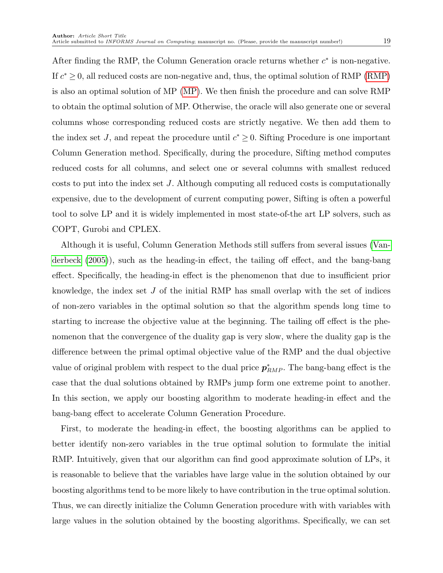After finding the RMP, the Column Generation oracle returns whether  $c^*$  is non-negative. If  $c^* \geq 0$ , all reduced costs are non-negative and, thus, the optimal solution of RMP [\(RMP\)](#page-17-1) is also an optimal solution of MP [\(MP\)](#page-17-0). We then finish the procedure and can solve RMP to obtain the optimal solution of MP. Otherwise, the oracle will also generate one or several columns whose corresponding reduced costs are strictly negative. We then add them to the index set J, and repeat the procedure until  $c^* \geq 0$ . Sifting Procedure is one important Column Generation method. Specifically, during the procedure, Sifting method computes reduced costs for all columns, and select one or several columns with smallest reduced costs to put into the index set J. Although computing all reduced costs is computationally expensive, due to the development of current computing power, Sifting is often a powerful tool to solve LP and it is widely implemented in most state-of-the art LP solvers, such as COPT, Gurobi and CPLEX.

Although it is useful, Column Generation Methods still suffers from several issues [\(Van](#page-32-13)[derbeck](#page-32-13) [\(2005\)](#page-32-13)), such as the heading-in effect, the tailing off effect, and the bang-bang effect. Specifically, the heading-in effect is the phenomenon that due to insufficient prior knowledge, the index set  $J$  of the initial RMP has small overlap with the set of indices of non-zero variables in the optimal solution so that the algorithm spends long time to starting to increase the objective value at the beginning. The tailing off effect is the phenomenon that the convergence of the duality gap is very slow, where the duality gap is the difference between the primal optimal objective value of the RMP and the dual objective value of original problem with respect to the dual price  $p_{RMP}^*$ . The bang-bang effect is the case that the dual solutions obtained by RMPs jump form one extreme point to another. In this section, we apply our boosting algorithm to moderate heading-in effect and the bang-bang effect to accelerate Column Generation Procedure.

First, to moderate the heading-in effect, the boosting algorithms can be applied to better identify non-zero variables in the true optimal solution to formulate the initial RMP. Intuitively, given that our algorithm can find good approximate solution of LPs, it is reasonable to believe that the variables have large value in the solution obtained by our boosting algorithms tend to be more likely to have contribution in the true optimal solution. Thus, we can directly initialize the Column Generation procedure with with variables with large values in the solution obtained by the boosting algorithms. Specifically, we can set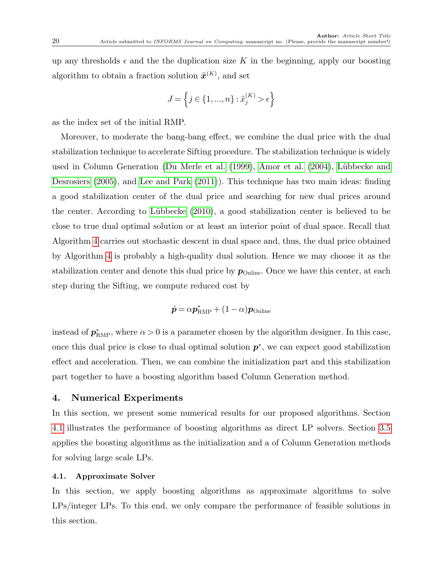up any thresholds  $\epsilon$  and the the duplication size K in the beginning, apply our boosting algorithm to obtain a fraction solution  $\tilde{\boldsymbol{x}}^{(K)}$ , and set

$$
J=\left\{j\in\{1,...,n\}:\tilde{x}^{(K)}_j>\epsilon\right\}
$$

as the index set of the initial RMP.

Moreover, to moderate the bang-bang effect, we combine the dual price with the dual stabilization technique to accelerate Sifting procedure. The stabilization technique is widely used in Column Generation [\(Du Merle et al.](#page-31-15) [\(1999\)](#page-31-15), [Amor et al.](#page-30-1) [\(2004\)](#page-30-1), Lübbecke and [Desrosiers](#page-32-12) [\(2005\)](#page-32-12), and [Lee and Park](#page-32-14) [\(2011\)](#page-32-14)). This technique has two main ideas: finding a good stabilization center of the dual price and searching for new dual prices around the center. According to Lübbecke  $(2010)$ , a good stabilization center is believed to be close to true dual optimal solution or at least an interior point of dual space. Recall that Algorithm [4](#page-12-0) carries out stochastic descent in dual space and, thus, the dual price obtained by Algorithm [4](#page-12-0) is probably a high-quality dual solution. Hence we may choose it as the stabilization center and denote this dual price by  $p_{\text{Online}}$ . Once we have this center, at each step during the Sifting, we compute reduced cost by

$$
\hat{\boldsymbol{p}} = \alpha \boldsymbol{p}_{\text{RMP}}^* + (1 - \alpha) \boldsymbol{p}_{\text{Online}}
$$

instead of  $p_{RMP}^*$ , where  $\alpha > 0$  is a parameter chosen by the algorithm designer. In this case, once this dual price is close to dual optimal solution  $p^*$ , we can expect good stabilization effect and acceleration. Then, we can combine the initialization part and this stabilization part together to have a boosting algorithm based Column Generation method.

## <span id="page-19-0"></span>4. Numerical Experiments

In this section, we present some numerical results for our proposed algorithms. Section [4.1](#page-19-1) illustrates the performance of boosting algorithms as direct LP solvers. Section [3.5](#page-17-2) applies the boosting algorithms as the initialization and a of Column Generation methods for solving large scale LPs.

#### <span id="page-19-1"></span>4.1. Approximate Solver

In this section, we apply boosting algorithms as approximate algorithms to solve LPs/integer LPs. To this end, we only compare the performance of feasible solutions in this section.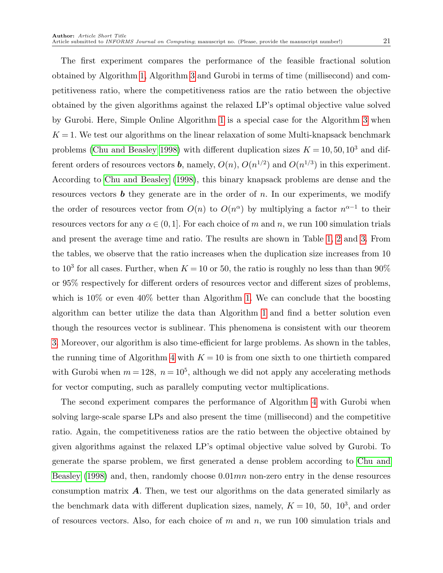The first experiment compares the performance of the feasible fractional solution obtained by Algorithm [1,](#page-6-0) Algorithm [3](#page-10-0) and Gurobi in terms of time (millisecond) and competitiveness ratio, where the competitiveness ratios are the ratio between the objective obtained by the given algorithms against the relaxed LP's optimal objective value solved by Gurobi. Here, Simple Online Algorithm [1](#page-6-0) is a special case for the Algorithm [3](#page-10-0) when  $K = 1$ . We test our algorithms on the linear relaxation of some Multi-knapsack benchmark problems [\(Chu and Beasley 1998\)](#page-31-16) with different duplication sizes  $K = 10, 50, 10^3$  and different orders of resources vectors **b**, namely,  $O(n)$ ,  $O(n^{1/2})$  and  $O(n^{1/3})$  in this experiment. According to [Chu and Beasley](#page-31-16) [\(1998\)](#page-31-16), this binary knapsack problems are dense and the resources vectors  $\boldsymbol{b}$  they generate are in the order of n. In our experiments, we modify the order of resources vector from  $O(n)$  to  $O(n^{\alpha})$  by multiplying a factor  $n^{\alpha-1}$  to their resources vectors for any  $\alpha \in (0,1]$ . For each choice of m and n, we run 100 simulation trials and present the average time and ratio. The results are shown in Table [1,](#page-21-0) [2](#page-21-1) and [3.](#page-21-2) From the tables, we observe that the ratio increases when the duplication size increases from 10 to 10<sup>3</sup> for all cases. Further, when  $K = 10$  or 50, the ratio is roughly no less than than 90% or 95% respectively for different orders of resources vector and different sizes of problems, which is  $10\%$  or even  $40\%$  better than Algorithm [1.](#page-6-0) We can conclude that the boosting algorithm can better utilize the data than Algorithm [1](#page-6-0) and find a better solution even though the resources vector is sublinear. This phenomena is consistent with our theorem [3.](#page-13-2) Moreover, our algorithm is also time-efficient for large problems. As shown in the tables, the running time of Algorithm [4](#page-12-0) with  $K = 10$  is from one sixth to one thirtieth compared with Gurobi when  $m = 128$ ,  $n = 10<sup>5</sup>$ , although we did not apply any accelerating methods for vector computing, such as parallely computing vector multiplications.

The second experiment compares the performance of Algorithm [4](#page-12-0) with Gurobi when solving large-scale sparse LPs and also present the time (millisecond) and the competitive ratio. Again, the competitiveness ratios are the ratio between the objective obtained by given algorithms against the relaxed LP's optimal objective value solved by Gurobi. To generate the sparse problem, we first generated a dense problem according to [Chu and](#page-31-16) [Beasley](#page-31-16) [\(1998\)](#page-31-16) and, then, randomly choose  $0.01mn$  non-zero entry in the dense resources consumption matrix  $\bf{A}$ . Then, we test our algorithms on the data generated similarly as the benchmark data with different duplication sizes, namely,  $K = 10$ , 50,  $10<sup>3</sup>$ , and order of resources vectors. Also, for each choice of  $m$  and  $n$ , we run 100 simulation trials and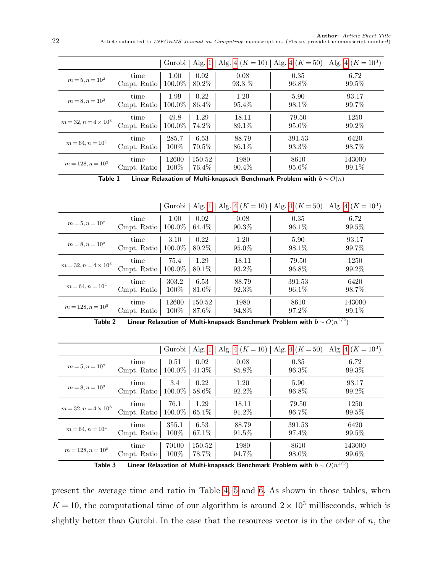|                             |             | Gurobi    | Alg. $1$ |          |          | Alg. 4 ( $K = 10$ )   Alg. 4 ( $K = 50$ )   Alg. 4 ( $K = 103$ ) |
|-----------------------------|-------------|-----------|----------|----------|----------|------------------------------------------------------------------|
| $m = 5, n = 102$            | time        | 1.00      | 0.02     | 0.08     | 0.35     | 6.72                                                             |
|                             | Cmpt. Ratio | 100.0%    | 80.2%    | 93.3 %   | 96.8%    | $99.5\%$                                                         |
| $m = 8, n = 103$            | time        | 1.99      | 0.22     | 1.20     | 5.90     | 93.17                                                            |
|                             | Cmpt. Ratio | $100.0\%$ | 86.4%    | 95.4\%   | 98.1\%   | 99.7%                                                            |
| $m = 32, n = 4 \times 10^3$ | time        | 49.8      | 1.29     | 18.11    | 79.50    | 1250                                                             |
|                             | Cmpt. Ratio | 100.0%    | 74.2%    | 89.1%    | $95.0\%$ | 99.2%                                                            |
| $m = 64, n = 104$           | time        | 285.7     | 6.53     | 88.79    | 391.53   | 6420                                                             |
|                             | Cmpt. Ratio | $100\%$   | 70.5%    | 86.1%    | 93.3\%   | 98.7%                                                            |
| $m = 128, n = 10^5$         | time        | 12600     | 150.52   | 1980     | 8610     | 143000                                                           |
|                             | Cmpt. Ratio | $100\%$   | 76.4%    | $90.4\%$ | $95.6\%$ | $99.1\%$                                                         |

<span id="page-21-0"></span>Table 1 Linear Relaxation of Multi-knapsack Benchmark Problem with  $\mathbf{b} \sim O(n)$ 

|                             |                     |                |                 |               |                | Gurobi   Alg. 1   Alg. 4 $(K = 10)$   Alg. 4 $(K = 50)$   Alg. 4 $(K = 10^3)$ |
|-----------------------------|---------------------|----------------|-----------------|---------------|----------------|-------------------------------------------------------------------------------|
| $m = 5, n = 10^2$           | time                | 1.00           | 0.02            | 0.08          | 0.35           | 6.72                                                                          |
|                             | Cmpt. Ratio         | 100.0%         | 64.4%           | $90.3\%$      | $96.1\%$       | $99.5\%$                                                                      |
| $m = 8, n = 103$            | time                | 3.10           | 0.22            | 1.20          | 5.90           | 93.17                                                                         |
|                             | Cmpt. Ratio         | $100.0\%$      | 80.2\%          | $95.0\%$      | 98.1\%         | 99.7%                                                                         |
| $m = 32, n = 4 \times 10^3$ | time                | 75.4           | 1.29            | 18.11         | 79.50          | 1250                                                                          |
|                             | Cmpt. Ratio         | 100.0%         | 80.1\%          | 93.2\%        | 96.8%          | $99.2\%$                                                                      |
| $m = 64, n = 104$           | time                | 303.2          | 6.53            | 88.79         | 391.53         | 6420                                                                          |
|                             | Cmpt. Ratio         | 100\%          | 81.0%           | $92.3\%$      | $96.1\%$       | 98.7%                                                                         |
| $m = 128, n = 10^5$         | time<br>Cmpt. Ratio | 12600<br>100\% | 150.52<br>87.6% | 1980<br>94.8% | 8610<br>97.2\% | 143000<br>$99.1\%$<br>$-10$                                                   |

<span id="page-21-1"></span>Table 2  $\;\;\;$  Linear Relaxation of Multi-knapsack Benchmark Problem with  $b\,{\sim}\,O(n^{1/2})$ 

|                             |             | Gurobi    | Alg. $1$ |          |          | Alg. 4 ( $K = 10$ )   Alg. 4 ( $K = 50$ )   Alg. 4 ( $K = 103$ ) |
|-----------------------------|-------------|-----------|----------|----------|----------|------------------------------------------------------------------|
| $m = 5, n = 10^2$           | time        | 0.51      | 0.02     | 0.08     | 0.35     | 6.72                                                             |
|                             | Cmpt. Ratio | $100.0\%$ | 41.3%    | 85.8%    | $96.3\%$ | 99.3\%                                                           |
| $m = 8, n = 103$            | time        | 3.4       | 0.22     | 1.20     | 5.90     | 93.17                                                            |
|                             | Cmpt. Ratio | 100.0%    | 58.6%    | 92.2%    | 96.8%    | 99.2%                                                            |
| $m = 32, n = 4 \times 10^3$ | time        | 76.1      | 1.29     | 18.11    | 79.50    | 1250                                                             |
|                             | Cmpt. Ratio | $100.0\%$ | $65.1\%$ | 91.2\%   | $96.7\%$ | 99.5%                                                            |
| $m = 64, n = 104$           | time        | 355.1     | 6.53     | 88.79    | 391.53   | 6420                                                             |
|                             | Cmpt. Ratio | $100\%$   | 67.1\%   | $91.5\%$ | 97.4\%   | 99.5%                                                            |
| $m = 128, n = 10^5$         | time        | 70100     | 150.52   | 1980     | 8610     | 143000                                                           |
|                             | Cmpt. Ratio | $100\%$   | 78.7%    | 94.7%    | 98.0%    | $99.6\%$                                                         |

<span id="page-21-2"></span>Table 3  $\quad$  Linear Relaxation of Multi-knapsack Benchmark Problem with  $b\,{\sim}\,O(n^{1/3})$ 

present the average time and ratio in Table [4,](#page-22-0) [5](#page-22-1) and [6.](#page-22-2) As shown in those tables, when  $K = 10$ , the computational time of our algorithm is around  $2 \times 10^3$  milliseconds, which is slightly better than Gurobi. In the case that the resources vector is in the order of  $n$ , the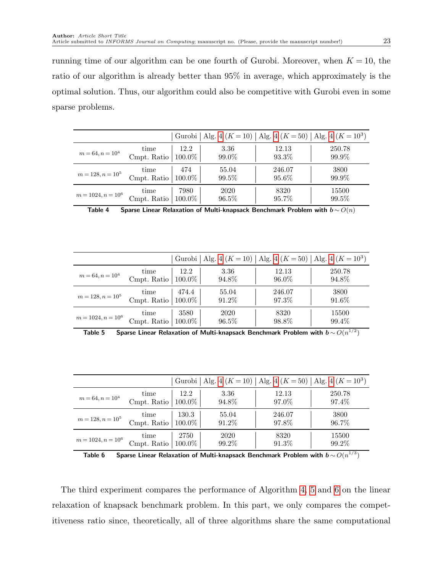running time of our algorithm can be one fourth of Gurobi. Moreover, when  $K = 10$ , the ratio of our algorithm is already better than 95% in average, which approximately is the optimal solution. Thus, our algorithm could also be competitive with Gurobi even in some sparse problems.

|                      |             |           |        |          | Gurobi   Alg. 4 ( $K = 10$ )   Alg. 4 ( $K = 50$ )   Alg. 4 ( $K = 103$ ) |
|----------------------|-------------|-----------|--------|----------|---------------------------------------------------------------------------|
| $m = 64, n = 104$    | time        | 12.2      | 3.36   | 12.13    | 250.78                                                                    |
|                      | Cmpt. Ratio | 100.0%    | 99.0\% | 93.3%    | 99.9%                                                                     |
| $m = 128, n = 105$   | time        | 474       | 55.04  | 246.07   | 3800                                                                      |
|                      | Cmpt. Ratio | $100.0\%$ | 99.5%  | $95.6\%$ | 99.9%                                                                     |
| $m = 1024, n = 10^6$ | time        | 7980      | 2020   | 8320     | 15500                                                                     |
|                      | Cmpt. Ratio | $100.0\%$ | 96.5%  | 95.7%    | 99.5%                                                                     |

<span id="page-22-0"></span>Table 4 Sparse Linear Relaxation of Multi-knapsack Benchmark Problem with  $\mathbf{b} \sim O(n)$ 

|                      |             |           |          |          | Gurobi   Alg. 4 ( $K = 10$ )   Alg. 4 ( $K = 50$ )   Alg. 4 ( $K = 103$ ) |
|----------------------|-------------|-----------|----------|----------|---------------------------------------------------------------------------|
| $m = 64, n = 104$    | time        | 12.2      | 3.36     | 12.13    | 250.78                                                                    |
|                      | Cmpt. Ratio | $100.0\%$ | 94.8%    | $96.0\%$ | 94.8%                                                                     |
| $m = 128, n = 10^5$  | time        | 474.4     | 55.04    | 246.07   | 3800                                                                      |
|                      | Cmpt. Ratio | $100.0\%$ | 91.2%    | 97.3%    | $91.6\%$                                                                  |
| $m = 1024, n = 10^6$ | time        | 3580      | 2020     | 8320     | 15500                                                                     |
|                      | Cmpt. Ratio | $100.0\%$ | $96.5\%$ | 98.8%    | 99.4\%                                                                    |

<span id="page-22-1"></span>Table 5 Sparse Linear Relaxation of Multi-knapsack Benchmark Problem with  $b\,{\sim}\,O(n^{1/2})$ 

|                      |             |           |          |          | Gurobi   Alg. 4 ( $K = 10$ )   Alg. 4 ( $K = 50$ )   Alg. 4 ( $K = 103$ ) |
|----------------------|-------------|-----------|----------|----------|---------------------------------------------------------------------------|
| $m = 64, n = 104$    | time        | 12.2      | 3.36     | 12.13    | 250.78                                                                    |
|                      | Cmpt. Ratio | $100.0\%$ | 94.8%    | 97.0%    | 97.4%                                                                     |
| $m = 128, n = 10^5$  | time        | 130.3     | 55.04    | 246.07   | 3800                                                                      |
|                      | Cmpt. Ratio | $100.0\%$ | 91.2%    | 97.8%    | 96.7%                                                                     |
| $m = 1024, n = 10^6$ | time        | 2750      | 2020     | 8320     | 15500                                                                     |
|                      | Cmpt. Ratio | $100.0\%$ | $99.2\%$ | $91.3\%$ | 99.2%                                                                     |

<span id="page-22-2"></span>Table 6 Sparse Linear Relaxation of Multi-knapsack Benchmark Problem with  $b\,{\sim}\,O(n^{1/3})$ 

The third experiment compares the performance of Algorithm [4,](#page-12-0) [5](#page-15-0) and [6](#page-16-0) on the linear relaxation of knapsack benchmark problem. In this part, we only compares the competitiveness ratio since, theoretically, all of three algorithms share the same computational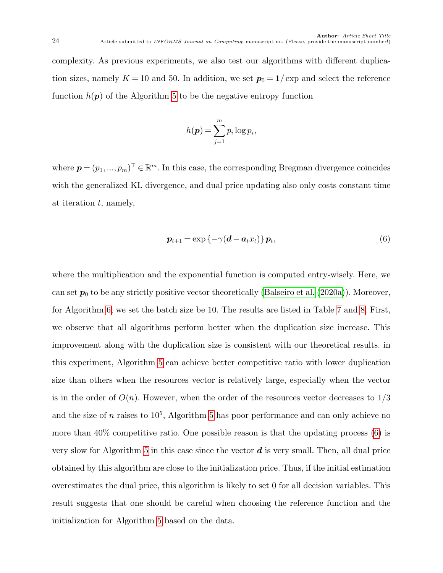complexity. As previous experiments, we also test our algorithms with different duplication sizes, namely  $K = 10$  and 50. In addition, we set  $p_0 = 1/\exp$  and select the reference function  $h(\mathbf{p})$  of the Algorithm [5](#page-15-0) to be the negative entropy function

$$
h(\boldsymbol{p}) = \sum_{j=1}^{m} p_i \log p_i,
$$

where  $\boldsymbol{p} = (p_1, ..., p_m)^\top \in \mathbb{R}^m$ . In this case, the corresponding Bregman divergence coincides with the generalized KL divergence, and dual price updating also only costs constant time at iteration  $t$ , namely,

<span id="page-23-0"></span>
$$
\boldsymbol{p}_{t+1} = \exp\left\{-\gamma(\boldsymbol{d} - \boldsymbol{a}_t x_t)\right\} \boldsymbol{p}_t, \tag{6}
$$

where the multiplication and the exponential function is computed entry-wisely. Here, we can set  $p_0$  to be any strictly positive vector theoretically [\(Balseiro et al.](#page-31-9) [\(2020a\)](#page-31-9)). Moreover, for Algorithm [6,](#page-16-0) we set the batch size be 10. The results are listed in Table [7](#page-24-0) and [8.](#page-24-1) First, we observe that all algorithms perform better when the duplication size increase. This improvement along with the duplication size is consistent with our theoretical results. in this experiment, Algorithm [5](#page-15-0) can achieve better competitive ratio with lower duplication size than others when the resources vector is relatively large, especially when the vector is in the order of  $O(n)$ . However, when the order of the resources vector decreases to  $1/3$ and the size of n raises to  $10^5$ , Algorithm [5](#page-15-0) has poor performance and can only achieve no more than  $40\%$  competitive ratio. One possible reason is that the updating process  $(6)$  is very slow for Algorithm [5](#page-15-0) in this case since the vector  $\boldsymbol{d}$  is very small. Then, all dual price obtained by this algorithm are close to the initialization price. Thus, if the initial estimation overestimates the dual price, this algorithm is likely to set 0 for all decision variables. This result suggests that one should be careful when choosing the reference function and the initialization for Algorithm [5](#page-15-0) based on the data.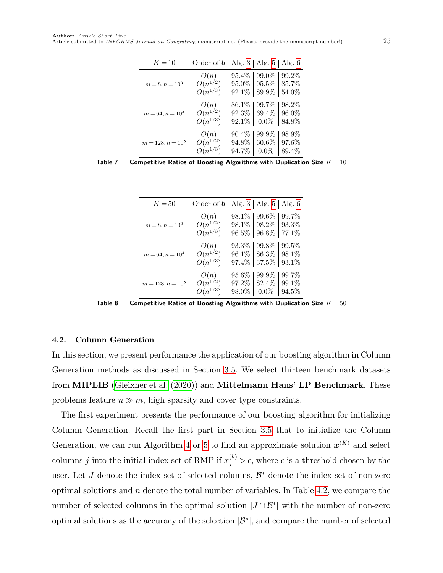| $K = 10$           | Order of $\boldsymbol{b}$   Alg. 3   Alg. 5 |          |          | Alg. $6$ |
|--------------------|---------------------------------------------|----------|----------|----------|
| $m = 8, n = 103$   | O(n)                                        | 95.4\%   | 99.0%    | 99.2%    |
|                    | $O(n^{1/2})$                                | $95.0\%$ | $95.5\%$ | 85.7%    |
|                    | $O(n^{1/3})$                                | $92.1\%$ | 89.9%    | $54.0\%$ |
| $m = 64, n = 104$  | O(n)                                        | 86.1\%   | 99.7%    | 98.2%    |
|                    | $O(n^{1/2})$                                | $92.3\%$ | 69.4%    | $96.0\%$ |
|                    | $O(n^{1/3})$                                | $92.1\%$ | $0.0\%$  | 84.8%    |
| $m = 128, n = 105$ | O(n)                                        | $90.4\%$ | 99.9%    | 98.9%    |
|                    | $O(n^{1/2})$                                | 94.8%    | $60.6\%$ | 97.6%    |
|                    | $O(n^{1/3})$                                | 94.7%    | $0.0\%$  | 89.4%    |

<span id="page-24-0"></span>Table 7 Competitive Ratios of Boosting Algorithms with Duplication Size  $K = 10$ 

| $K=50$             | Order of $\boldsymbol{b}$   Alg. 3   Alg. 5   Alg. 6 |          |          |          |
|--------------------|------------------------------------------------------|----------|----------|----------|
| $m = 8, n = 103$   | O(n)                                                 | 98.1\%   | 99.6\%   | 99.7%    |
|                    | $O(n^{1/2})$                                         | 98.1%    | 98.2%    | $93.3\%$ |
|                    | $O(n^{1/3})$                                         | $96.5\%$ | 96.8%    | 77.1\%   |
| $m = 64, n = 104$  | O(n)                                                 | $93.3\%$ | 99.8%    | $99.5\%$ |
|                    | $O(n^{1/2})$                                         | 96.1\%   | $86.3\%$ | 98.1%    |
|                    | $O(n^{1/3})$                                         | 97.4%    | 37.5%    | 93.1\%   |
| $m = 128, n = 105$ | O(n)                                                 | 95.6\%   | 99.9%    | 99.7%    |
|                    | $O(n^{1/2})$                                         | 97.2%    | 82.4\%   | 99.1\%   |
|                    | $O(n^{1/3})$                                         | 98.0%    | $0.0\%$  | $94.5\%$ |

<span id="page-24-1"></span>Table 8 Competitive Ratios of Boosting Algorithms with Duplication Size  $K = 50$ 

#### <span id="page-24-2"></span>4.2. Column Generation

In this section, we present performance the application of our boosting algorithm in Column Generation methods as discussed in Section [3.5.](#page-17-2) We select thirteen benchmark datasets from MIPLIB [\(Gleixner et al.](#page-31-2) [\(2020\)](#page-31-2)) and Mittelmann Hans' LP Benchmark. These problems feature  $n \gg m$ , high sparsity and cover type constraints.

The first experiment presents the performance of our boosting algorithm for initializing Column Generation. Recall the first part in Section [3.5](#page-17-2) that to initialize the Column Generation, we can run Algorithm [4](#page-12-0) or [5](#page-15-0) to find an approximate solution  $x^{(K)}$  and select columns j into the initial index set of RMP if  $x_j^{(k)} > \epsilon$ , where  $\epsilon$  is a threshold chosen by the user. Let J denote the index set of selected columns,  $\mathcal{B}^*$  denote the index set of non-zero optimal solutions and  $n$  denote the total number of variables. In Table [4.2,](#page-24-2) we compare the number of selected columns in the optimal solution  $|J \cap \mathcal{B}^*|$  with the number of non-zero optimal solutions as the accuracy of the selection  $|\mathcal{B}^*|$ , and compare the number of selected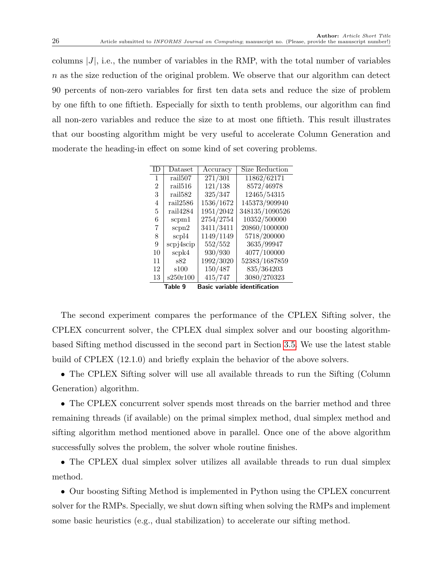columns  $|J|$ , i.e., the number of variables in the RMP, with the total number of variables n as the size reduction of the original problem. We observe that our algorithm can detect 90 percents of non-zero variables for first ten data sets and reduce the size of problem by one fifth to one fiftieth. Especially for sixth to tenth problems, our algorithm can find all non-zero variables and reduce the size to at most one fiftieth. This result illustrates that our boosting algorithm might be very useful to accelerate Column Generation and moderate the heading-in effect on some kind of set covering problems.

<span id="page-25-0"></span>

| TD.            | Dataset                                         | Accuracy  | Size Reduction |  |  |  |  |
|----------------|-------------------------------------------------|-----------|----------------|--|--|--|--|
| 1              | rail <sub>507</sub>                             | 271/301   | 11862/62171    |  |  |  |  |
| $\overline{2}$ | rail <sub>516</sub>                             | 121/138   | 8572/46978     |  |  |  |  |
| 3              | rail <sub>582</sub>                             | 325/347   | 12465/54315    |  |  |  |  |
| 4              | rail2586                                        | 1536/1672 | 145373/909940  |  |  |  |  |
| 5              | rail4284                                        | 1951/2042 | 348135/1090526 |  |  |  |  |
| 6              | scpm1                                           | 2754/2754 | 10352/500000   |  |  |  |  |
| 7              | scpn2                                           | 3411/3411 | 20860/1000000  |  |  |  |  |
| 8              | scpl4                                           | 1149/1149 | 5718/200000    |  |  |  |  |
| 9              | scpj4scip                                       | 552/552   | 3635/99947     |  |  |  |  |
| 10             | scpk4                                           | 930/930   | 4077/100000    |  |  |  |  |
| 11             | s82                                             | 1992/3020 | 52383/1687859  |  |  |  |  |
| 12             | s100                                            | 150/487   | 835/364203     |  |  |  |  |
| 13             | s250r100                                        | 415/747   | 3080/270323    |  |  |  |  |
|                | <b>Basic variable identification</b><br>Table 9 |           |                |  |  |  |  |

The second experiment compares the performance of the CPLEX Sifting solver, the CPLEX concurrent solver, the CPLEX dual simplex solver and our boosting algorithmbased Sifting method discussed in the second part in Section [3.5.](#page-17-2) We use the latest stable build of CPLEX (12.1.0) and briefly explain the behavior of the above solvers.

• The CPLEX Sifting solver will use all available threads to run the Sifting (Column Generation) algorithm.

• The CPLEX concurrent solver spends most threads on the barrier method and three remaining threads (if available) on the primal simplex method, dual simplex method and sifting algorithm method mentioned above in parallel. Once one of the above algorithm successfully solves the problem, the solver whole routine finishes.

• The CPLEX dual simplex solver utilizes all available threads to run dual simplex method.

• Our boosting Sifting Method is implemented in Python using the CPLEX concurrent solver for the RMPs. Specially, we shut down sifting when solving the RMPs and implement some basic heuristics (e.g., dual stabilization) to accelerate our sifting method.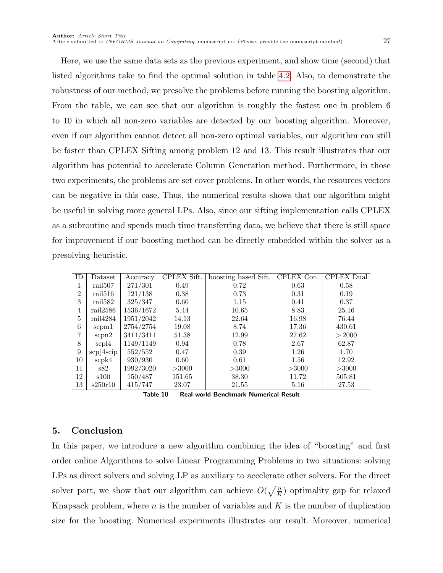Here, we use the same data sets as the previous experiment, and show time (second) that listed algorithms take to find the optimal solution in table [4.2.](#page-25-0) Also, to demonstrate the robustness of our method, we presolve the problems before running the boosting algorithm. From the table, we can see that our algorithm is roughly the fastest one in problem 6 to 10 in which all non-zero variables are detected by our boosting algorithm. Moreover, even if our algorithm cannot detect all non-zero optimal variables, our algorithm can still be faster than CPLEX Sifting among problem 12 and 13. This result illustrates that our algorithm has potential to accelerate Column Generation method. Furthermore, in those two experiments, the problems are set cover problems. In other words, the resources vectors can be negative in this case. Thus, the numerical results shows that our algorithm might be useful in solving more general LPs. Also, since our sifting implementation calls CPLEX as a subroutine and spends much time transferring data, we believe that there is still space for improvement if our boosting method can be directly embedded within the solver as a presolving heuristic.

| ID             | Dataset                      | Accuracy  | CPLEX Sift. | boosting based Sift. | CPLEX Con. | CPLEX Dual |
|----------------|------------------------------|-----------|-------------|----------------------|------------|------------|
|                | $\overline{\text{real}}$ 507 | 271/301   | 0.49        | 0.72                 | 0.63       | 0.58       |
| $\overline{2}$ | rail516                      | 121/138   | 0.38        | 0.73                 | 0.31       | 0.19       |
| 3              | rail582                      | 325/347   | 0.60        | 1.15                 | 0.41       | 0.37       |
| 4              | rail2586                     | 1536/1672 | 5.44        | 10.65                | 8.83       | 25.16      |
| 5              | rail4284                     | 1951/2042 | 14.13       | 22.64                | 16.98      | 76.44      |
| 6              | scpm1                        | 2754/2754 | 19.08       | 8.74                 | 17.36      | 430.61     |
| 7              | scpn2                        | 3411/3411 | 51.38       | 12.99                | 27.62      | > 2000     |
| 8              | scpl4                        | 1149/1149 | 0.94        | 0.78                 | 2.67       | 62.87      |
| 9              | $scp$ <i>j</i> $4scip$       | 552/552   | 0.47        | 0.39                 | 1.26       | 1.70       |
| 10             | scpk4                        | 930/930   | 0.60        | 0.61                 | $1.56\,$   | 12.92      |
| 11             | s82                          | 1992/3020 | >3000       | >3000                | >3000      | >3000      |
| 12             | s100                         | 150/487   | 151.65      | 38.30                | 11.72      | 505.81     |
| 13             | s250r10                      | 415/747   | 23.07       | 21.55                | 5.16       | 27.53      |

| Table 10 | <b>Real-world Benchmark Numerical Result</b> |  |
|----------|----------------------------------------------|--|
|          |                                              |  |

## 5. Conclusion

In this paper, we introduce a new algorithm combining the idea of "boosting" and first order online Algorithms to solve Linear Programming Problems in two situations: solving LPs as direct solvers and solving LP as auxiliary to accelerate other solvers. For the direct solver part, we show that our algorithm can achieve  $O(\sqrt{\frac{n}{K}})$  optimality gap for relaxed Knapsack problem, where  $n$  is the number of variables and  $K$  is the number of duplication size for the boosting. Numerical experiments illustrates our result. Moreover, numerical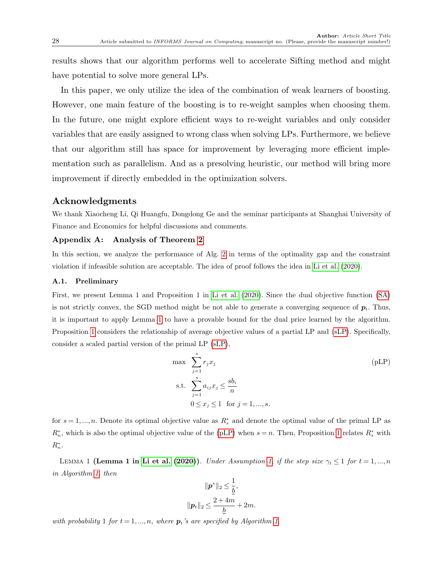results shows that our algorithm performs well to accelerate Sifting method and might have potential to solve more general LPs.

In this paper, we only utilize the idea of the combination of weak learners of boosting. However, one main feature of the boosting is to re-weight samples when choosing them. In the future, one might explore efficient ways to re-weight variables and only consider variables that are easily assigned to wrong class when solving LPs. Furthermore, we believe that our algorithm still has space for improvement by leveraging more efficient implementation such as parallelism. And as a presolving heuristic, our method will bring more improvement if directly embedded in the optimization solvers.

### Acknowledgments

We thank Xiaocheng Li, Qi Huangfu, Dongdong Ge and the seminar participants at Shanghai University of Finance and Economics for helpful discussions and comments.

#### Appendix A: Analysis of Theorem [2](#page-13-3)

In this section, we analyze the performance of Alg. [2](#page-9-0) in terms of the optimality gap and the constraint violation if infeasible solution are acceptable. The idea of proof follows the idea in [Li et al.](#page-32-1) [\(2020\)](#page-32-1).

#### A.1. Preliminary

First, we present Lemma 1 and Proposition 1 in [Li et al.](#page-32-1) [\(2020\)](#page-32-1). Since the dual objective function [\(SA\)](#page-5-1) is not strictly convex, the SGD method might be not able to generate a converging sequence of  $p_t$ . Thus, it is important to apply Lemma [1](#page-27-0) to have a provable bound for the dual price learned by the algorithm. Proposition [1](#page-27-1) considers the relationship of average objective values of a partial LP and [\(sLP\)](#page-4-1). Specifically, consider a scaled partial version of the primal LP [\(sLP\)](#page-4-1),

<span id="page-27-2"></span>
$$
\max \sum_{j=1}^{s} r_j x_j
$$
\n
$$
\text{s.t. } \sum_{j=1}^{s} a_{ij} x_j \le \frac{s b_i}{n}
$$
\n
$$
0 \le x_j \le 1 \quad \text{for } j = 1, \dots, s.
$$
\n(pLP)

for  $s = 1, ..., n$ . Denote its optimal objective value as  $R_s^*$  and denote the optimal value of the primal LP as  $R_n^*$ , which is also the optimal objective value of the [\(pLP\)](#page-27-2) when  $s = n$ . Then, Proposition [1](#page-27-1) relates  $R_s^*$  with  $R_n^*$ .

<span id="page-27-0"></span>LEMMA 1 (Lemma 1 in [Li et al.](#page-32-1) [\(2020\)](#page-32-1)). Under Assumption [1,](#page-3-2) if the step size  $\gamma_t \leq 1$  for  $t = 1, ..., n$ in Algorithm [1,](#page-6-0) then

$$
\begin{aligned} \|\boldsymbol{p}^*\|_2 &\leq \frac{1}{\underline{b}},\\ \|\boldsymbol{p}_t\|_2 &\leq \frac{2+4m}{\underline{b}}+2m. \end{aligned}
$$

<span id="page-27-1"></span>with probability 1 for  $t = 1, ..., n$ , where  $p_t$ 's are specified by Algorithm [1.](#page-6-0)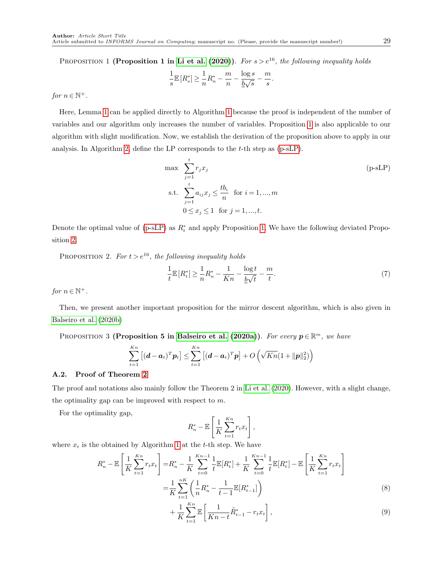PROPOSITION 1 (Proposition 1 in [Li et al.](#page-32-1) [\(2020\)](#page-32-1)). For  $s > e^{16}$ , the following inequality holds

$$
\frac{1}{s}\mathbb{E}\left[R_s^*\right] \ge \frac{1}{n}R_n^* - \frac{m}{n} - \frac{\log s}{\underline{b}\sqrt{s}} - \frac{m}{s}.
$$

for  $n \in \mathbb{N}^+$ .

Here, Lemma [1](#page-27-0) can be applied directly to Algorithm [1](#page-6-0) because the proof is independent of the number of variables and our algorithm only increases the number of variables. Proposition [1](#page-27-1) is also applicable to our algorithm with slight modification. Now, we establish the derivation of the proposition above to apply in our analysis. In Algorithm [2,](#page-9-0) define the LP corresponds to the t-th step as [\(p-sLP\)](#page-28-0).

<span id="page-28-0"></span>
$$
\max \sum_{j=1}^{t} r_j x_j
$$
\n
$$
\text{s.t. } \sum_{j=1}^{t} a_{ij} x_j \le \frac{t b_i}{n} \quad \text{for } i = 1, \dots, m
$$
\n
$$
0 \le x_j \le 1 \quad \text{for } j = 1, \dots, t.
$$
\n(P-SLP)

Denote the optimal value of  $(p-sLP)$  as  $R_t^*$  and apply Proposition [1.](#page-27-1) We have the following deviated Proposition [2.](#page-28-1)

<span id="page-28-1"></span>PROPOSITION 2. For  $t > e^{16}$ , the following inequality holds

$$
\frac{1}{t}\mathbb{E}\left[R_t^*\right] \ge \frac{1}{n}R_n^* - \frac{1}{Kn} - \frac{\log t}{\frac{b}{\sqrt{t}}} - \frac{m}{t}.\tag{7}
$$

for  $n \in \mathbb{N}^+$ .

Then, we present another important proposition for the mirror descent algorithm, which is also given in [Balseiro et al.](#page-31-0) [\(2020b\)](#page-31-0)

<span id="page-28-4"></span>PROPOSITION 3 (Proposition 5 in [Balseiro et al.](#page-31-9) [\(2020a\)](#page-31-9)). For every  $p \in \mathbb{R}^m$ , we have

$$
\sum_{t=1}^{Kn} \left[ (\boldsymbol{d} - \boldsymbol{a}_t)^T \boldsymbol{p}_t \right] \leq \sum_{t=1}^{Kn} \left[ (\boldsymbol{d} - \boldsymbol{a}_t)^T \boldsymbol{p} \right] + O\left( \sqrt{Kn} (1 + ||\boldsymbol{p}||_2^2) \right)
$$

#### A.2. Proof of Theorem [2](#page-13-3)

The proof and notations also mainly follow the Theorem 2 in [Li et al.](#page-32-1) [\(2020\)](#page-32-1). However, with a slight change, the optimality gap can be improved with respect to m.

For the optimality gap,

<span id="page-28-3"></span><span id="page-28-2"></span>
$$
R_n^* - \mathbb{E}\left[\frac{1}{K}\sum_{t=1}^{Kn} r_t x_t\right],
$$

where  $x_t$  is the obtained by Algorithm [1](#page-6-0) at the t-th step. We have

$$
R_{n}^{*} - \mathbb{E}\left[\frac{1}{K}\sum_{t=1}^{Kn} r_{t}x_{t}\right] = R_{n}^{*} - \frac{1}{K}\sum_{t=0}^{Kn-1} \frac{1}{t}\mathbb{E}[R_{t}^{*}] + \frac{1}{K}\sum_{t=0}^{Kn-1} \frac{1}{t}\mathbb{E}[R_{t}^{*}] - \mathbb{E}\left[\frac{1}{K}\sum_{t=1}^{Kn} r_{t}x_{t}\right]
$$

$$
= \frac{1}{K}\sum_{t=1}^{nK} \left(\frac{1}{n}R_{n}^{*} - \frac{1}{t-1}\mathbb{E}[R_{t-1}^{*}]\right)
$$
(8)

$$
+\frac{1}{K}\sum_{t=1}^{Kn} \mathbb{E}\left[\frac{1}{Kn-t}\tilde{R}_{t-1}^* - r_t x_t\right],
$$
\n(9)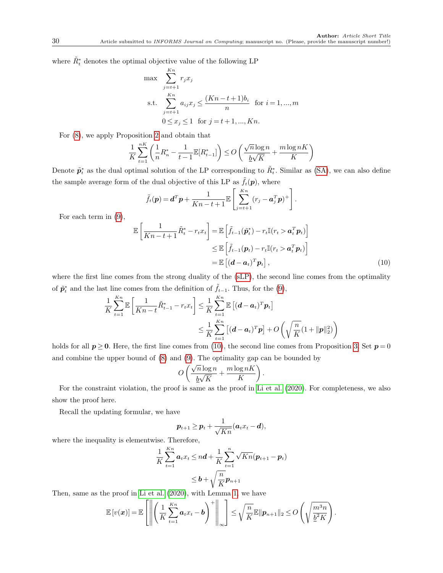where  $\tilde{R}^*_t$  denotes the optimal objective value of the following LP

$$
\max \sum_{j=t+1}^{Kn} r_j x_j
$$
\n
$$
\text{s.t.} \sum_{j=t+1}^{Kn} a_{ij} x_j \le \frac{(Kn - t + 1)b_i}{n} \text{ for } i = 1, ..., m
$$
\n
$$
0 \le x_j \le 1 \text{ for } j = t+1, ..., Kn.
$$

For [\(8\)](#page-28-2), we apply Proposition [2](#page-28-1) and obtain that

$$
\frac{1}{K}\sum_{t=1}^{nK}\left(\frac{1}{n}R_n^*-\frac{1}{t-1}\mathbb{E}[R_{t-1}^*]\right)\leq O\left(\frac{\sqrt{n}\log n}{\underline{b}\sqrt{K}}+\frac{m\log nK}{K}\right)
$$

Denote  $\tilde{\mathbf{p}}_t^*$  as the dual optimal solution of the LP corresponding to  $\tilde{R}_t^*$ . Similar as [\(SA\)](#page-5-1), we can also define the sample average form of the dual objective of this LP as  $\tilde{f}_t(\mathbf{p})$ , where

$$
\tilde{f}_t(\boldsymbol{p}) = \boldsymbol{d}^T \boldsymbol{p} + \frac{1}{Kn - t + 1} \mathbb{E} \left[ \sum_{j=t+1}^{Kn} (r_j - \boldsymbol{a}_j^T \boldsymbol{p})^+ \right].
$$

For each term in [\(9\)](#page-28-3),

$$
\mathbb{E}\left[\frac{1}{Kn-t+1}\tilde{R}_t^* - r_t x_t\right] = \mathbb{E}\left[\tilde{f}_{t-1}(\tilde{\boldsymbol{p}}_t^*) - r_t \mathbb{I}(r_t > \boldsymbol{a}_t^T \boldsymbol{p}_t)\right]
$$
  
\n
$$
\leq \mathbb{E}\left[\tilde{f}_{t-1}(\boldsymbol{p}_t) - r_t \mathbb{I}(r_t > \boldsymbol{a}_t^T \boldsymbol{p}_t)\right]
$$
  
\n
$$
= \mathbb{E}\left[(\boldsymbol{d} - \boldsymbol{a}_t)^T \boldsymbol{p}_t\right],
$$
\n(10)

where the first line comes from the strong duality of the [\(sLP\)](#page-4-1), the second line comes from the optimality of  $\tilde{p}_t^*$  and the last line comes from the definition of  $\tilde{f}_{t-1}$ . Thus, for the [\(9\)](#page-28-3),

$$
\frac{1}{K} \sum_{t=1}^{Kn} \mathbb{E} \left[ \frac{1}{Kn-t} \tilde{R}_{t-1}^* - r_t x_t \right] \leq \frac{1}{K} \sum_{t=1}^{Kn} \mathbb{E} \left[ (d - a_t)^T p_t \right] \\
\leq \frac{1}{K} \sum_{t=1}^{Kn} \left[ (d - a_t)^T p \right] + O\left(\sqrt{\frac{n}{K}} (1 + ||p||_2^2)\right)
$$

holds for all  $p \ge 0$ . Here, the first line comes from [\(10\)](#page-29-0), the second line comes from Proposition [3.](#page-28-4) Set  $p = 0$ and combine the upper bound of [\(8\)](#page-28-2) and [\(9\)](#page-28-3). The optimality gap can be bounded by<br>  $\alpha \left( \sqrt{n} \log n \mod n \right)$ 

<span id="page-29-0"></span>
$$
O\left(\frac{\sqrt{n}\log n}{\underline{b}\sqrt{K}} + \frac{m\log nK}{K}\right).
$$

For the constraint violation, the proof is same as the proof in [Li et al.](#page-32-1) [\(2020\)](#page-32-1). For completeness, we also show the proof here.

Recall the updating formular, we have

$$
\boldsymbol{p}_{t+1} \geq \boldsymbol{p}_t + \frac{1}{\sqrt{Kn}}(\boldsymbol{a}_t x_t - \boldsymbol{d}),
$$

where the inequality is elementwise. Therefore,

$$
\frac{1}{K}\sum_{t=1}^{Kn}a_tx_t \le nd + \frac{1}{K}\sum_{t=1}^n \sqrt{Kn}(\boldsymbol{p}_{t+1} - \boldsymbol{p}_t)
$$
  
 
$$
\le \boldsymbol{b} + \sqrt{\frac{n}{K}}\boldsymbol{p}_{n+1}
$$

Then, same as the proof in [Li et al.](#page-32-1) [\(2020\)](#page-32-1), with Lemma [1,](#page-27-0) we have

$$
\mathbb{E}\left[v(\boldsymbol{x})\right] = \mathbb{E}\left[\left\|\left(\frac{1}{K}\sum_{t=1}^{Kn} a_t x_t - \boldsymbol{b}\right)^+\right\|_{\infty}\right] \leq \sqrt{\frac{n}{K}} \mathbb{E}\|\boldsymbol{p}_{n+1}\|_2 \leq O\left(\sqrt{\frac{m^3 n}{\underline{b}^2 K}}\right).
$$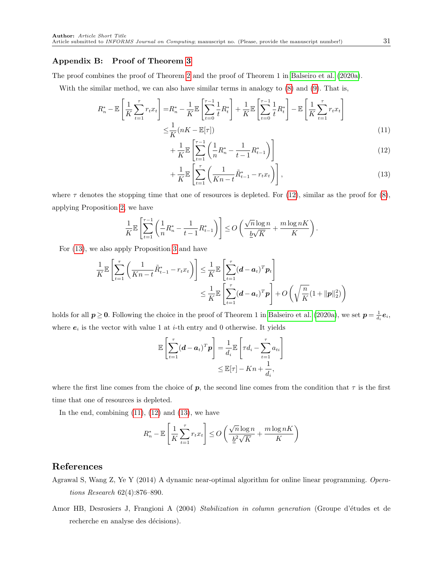#### Appendix B: Proof of Theorem [3](#page-13-2)

The proof combines the proof of Theorem [2](#page-13-3) and the proof of Theorem 1 in [Balseiro et al.](#page-31-9) [\(2020a\)](#page-31-9).

With the similar method, we can also have similar terms in analogy to [\(8\)](#page-28-2) and [\(9\)](#page-28-3). That is,

$$
R_n^* - \mathbb{E}\left[\frac{1}{K}\sum_{t=1}^{\tau} r_t x_t\right] = R_n^* - \frac{1}{K} \mathbb{E}\left[\sum_{t=0}^{\tau-1} \frac{1}{t} R_t^*\right] + \frac{1}{K} \mathbb{E}\left[\sum_{t=0}^{\tau-1} \frac{1}{t} R_t^*\right] - \mathbb{E}\left[\frac{1}{K}\sum_{t=1}^{\tau} r_t x_t\right]
$$

$$
\leq \frac{1}{K} (nK - \mathbb{E}[\tau])
$$
(11)

<span id="page-30-4"></span><span id="page-30-2"></span>
$$
+\frac{1}{K}\mathbb{E}\left[\sum_{t=1}^{\tau-1}\left(\frac{1}{n}R_n^*-\frac{1}{t-1}R_{t-1}^*\right)\right]
$$
\n(12)

<span id="page-30-3"></span>
$$
+\frac{1}{K}\mathbb{E}\left[\sum_{t=1}^{\tau}\left(\frac{1}{Kn-t}\tilde{R}_{t-1}^*-r_tx_t\right)\right],\tag{13}
$$

where  $\tau$  denotes the stopping time that one of resources is depleted. For [\(12\)](#page-30-2), similar as the proof for [\(8\)](#page-28-2), applying Proposition [2,](#page-28-1) we have

$$
\frac{1}{K}\mathbb{E}\left[\sum_{t=1}^{\tau-1} \left(\frac{1}{n}R_n^*-\frac{1}{t-1}R_{t-1}^*\right)\right]\leq O\left(\frac{\sqrt{n}\log n}{\underline{b}\sqrt{K}}+\frac{m\log nK}{K}\right).
$$

For [\(13\)](#page-30-3), we also apply Proposition [3](#page-28-4) and have

$$
\frac{1}{K}\mathbb{E}\left[\sum_{t=1}^{\tau}\left(\frac{1}{Kn-t}\tilde{R}_{t-1}^* - r_t x_t\right)\right] \leq \frac{1}{K}\mathbb{E}\left[\sum_{t=1}^{\tau}(d-a_t)^T p_t\right] \n\leq \frac{1}{K}\mathbb{E}\left[\sum_{t=1}^{\tau}(d-a_t)^T p\right] + O\left(\sqrt{\frac{n}{K}}(1+\|\mathbf{p}\|_2^2)\right)
$$

holds for all  $p \ge 0$ . Following the choice in the proof of Theorem 1 in [Balseiro et al.](#page-31-9) [\(2020a\)](#page-31-9), we set  $p = \frac{1}{d_i}e_i$ , where  $e_i$  is the vector with value 1 at *i*-th entry and 0 otherwise. It yields

$$
\mathbb{E}\left[\sum_{t=1}^{\tau}(\boldsymbol{d}-\boldsymbol{a}_t)^T\boldsymbol{p}\right] = \frac{1}{d_i}\mathbb{E}\left[\tau d_i - \sum_{t=1}^{\tau} a_{ti}\right] \leq \mathbb{E}[\tau] - Kn + \frac{1}{d_i},
$$

where the first line comes from the choice of p, the second line comes from the condition that  $\tau$  is the first time that one of resources is depleted.

In the end, combining  $(11)$ ,  $(12)$  and  $(13)$ , we have

$$
R_n^* - \mathbb{E}\left[\frac{1}{K}\sum_{t=1}^{\tau} r_t x_t\right] \le O\left(\frac{\sqrt{n}\log n}{\underline{b}^2\sqrt{K}} + \frac{m\log nK}{K}\right)
$$

#### <span id="page-30-0"></span>References

- Agrawal S, Wang Z, Ye Y (2014) A dynamic near-optimal algorithm for online linear programming. Operations Research 62(4):876–890.
- <span id="page-30-1"></span>Amor HB, Desrosiers J, Frangioni A (2004) Stabilization in column generation (Groupe d'études et de recherche en analyse des décisions).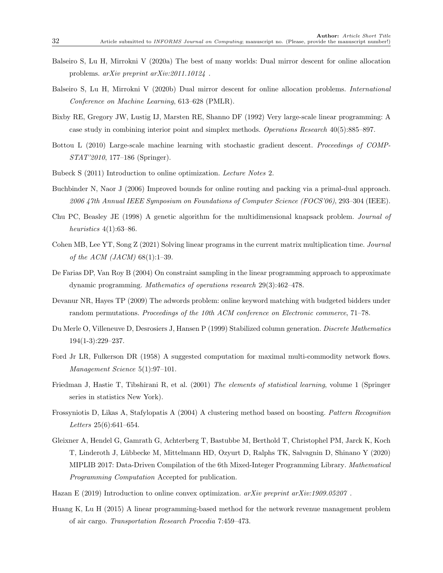- <span id="page-31-9"></span>Balseiro S, Lu H, Mirrokni V (2020a) The best of many worlds: Dual mirror descent for online allocation problems. arXiv preprint arXiv:2011.10124 .
- <span id="page-31-0"></span>Balseiro S, Lu H, Mirrokni V (2020b) Dual mirror descent for online allocation problems. International Conference on Machine Learning, 613–628 (PMLR).
- <span id="page-31-13"></span>Bixby RE, Gregory JW, Lustig IJ, Marsten RE, Shanno DF (1992) Very large-scale linear programming: A case study in combining interior point and simplex methods. Operations Research 40(5):885–897.
- <span id="page-31-12"></span>Bottou L (2010) Large-scale machine learning with stochastic gradient descent. Proceedings of COMP-STAT'2010, 177–186 (Springer).
- <span id="page-31-11"></span>Bubeck S (2011) Introduction to online optimization. Lecture Notes 2.
- <span id="page-31-5"></span>Buchbinder N, Naor J (2006) Improved bounds for online routing and packing via a primal-dual approach. 2006 47th Annual IEEE Symposium on Foundations of Computer Science (FOCS'06), 293–304 (IEEE).
- <span id="page-31-16"></span>Chu PC, Beasley JE (1998) A genetic algorithm for the multidimensional knapsack problem. Journal of heuristics 4(1):63–86.
- <span id="page-31-3"></span>Cohen MB, Lee YT, Song Z (2021) Solving linear programs in the current matrix multiplication time. Journal of the ACM (JACM)  $68(1):1-39$ .
- <span id="page-31-4"></span>De Farias DP, Van Roy B (2004) On constraint sampling in the linear programming approach to approximate dynamic programming. Mathematics of operations research 29(3):462–478.
- <span id="page-31-7"></span>Devanur NR, Hayes TP (2009) The adwords problem: online keyword matching with budgeted bidders under random permutations. Proceedings of the 10th ACM conference on Electronic commerce, 71-78.
- <span id="page-31-15"></span>Du Merle O, Villeneuve D, Desrosiers J, Hansen P (1999) Stabilized column generation. Discrete Mathematics 194(1-3):229–237.
- <span id="page-31-14"></span>Ford Jr LR, Fulkerson DR (1958) A suggested computation for maximal multi-commodity network flows. Management Science 5(1):97–101.
- <span id="page-31-1"></span>Friedman J, Hastie T, Tibshirani R, et al. (2001) The elements of statistical learning, volume 1 (Springer series in statistics New York).
- <span id="page-31-8"></span>Frossyniotis D, Likas A, Stafylopatis A (2004) A clustering method based on boosting. Pattern Recognition Letters 25(6):641–654.
- <span id="page-31-2"></span>Gleixner A, Hendel G, Gamrath G, Achterberg T, Bastubbe M, Berthold T, Christophel PM, Jarck K, Koch T, Linderoth J, L¨ubbecke M, Mittelmann HD, Ozyurt D, Ralphs TK, Salvagnin D, Shinano Y (2020) MIPLIB 2017: Data-Driven Compilation of the 6th Mixed-Integer Programming Library. *Mathematical* Programming Computation Accepted for publication.
- <span id="page-31-10"></span>Hazan E (2019) Introduction to online convex optimization.  $arXiv$  preprint  $arXiv:1909.05207$ .
- <span id="page-31-6"></span>Huang K, Lu H (2015) A linear programming-based method for the network revenue management problem of air cargo. Transportation Research Procedia 7:459–473.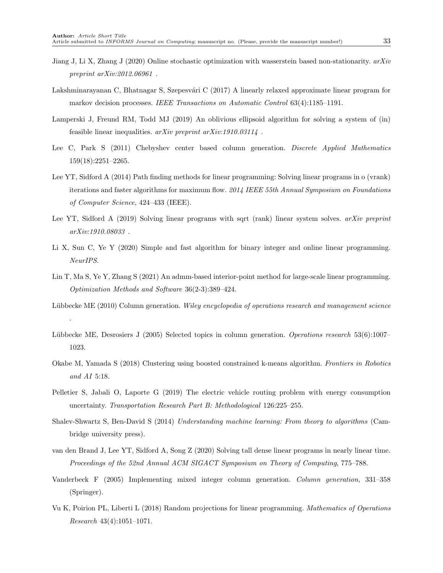- <span id="page-32-2"></span>Jiang J, Li X, Zhang J (2020) Online stochastic optimization with wasserstein based non-stationarity. arXiv preprint arXiv:2012.06961 .
- <span id="page-32-6"></span>Lakshminarayanan C, Bhatnagar S, Szepesvári C (2017) A linearly relaxed approximate linear program for markov decision processes. IEEE Transactions on Automatic Control 63(4):1185–1191.
- <span id="page-32-4"></span>Lamperski J, Freund RM, Todd MJ (2019) An oblivious ellipsoid algorithm for solving a system of (in) feasible linear inequalities.  $arXiv$  preprint  $arXiv:1910.03114$ .
- <span id="page-32-14"></span>Lee C, Park S (2011) Chebyshev center based column generation. Discrete Applied Mathematics 159(18):2251–2265.
- <span id="page-32-3"></span>Lee YT, Sidford A (2014) Path finding methods for linear programming: Solving linear programs in o (vrank) iterations and faster algorithms for maximum flow. 2014 IEEE 55th Annual Symposium on Foundations of Computer Science, 424–433 (IEEE).
- <span id="page-32-7"></span>Lee YT, Sidford A (2019) Solving linear programs with sqrt (rank) linear system solves. arXiv preprint arXiv:1910.08033 .
- <span id="page-32-1"></span>Li X, Sun C, Ye Y (2020) Simple and fast algorithm for binary integer and online linear programming. NeurIPS.
- <span id="page-32-9"></span>Lin T, Ma S, Ye Y, Zhang S (2021) An admm-based interior-point method for large-scale linear programming. Optimization Methods and Software 36(2-3):389–424.
- <span id="page-32-15"></span>Lübbecke ME (2010) Column generation. Wiley encyclopedia of operations research and management science

.

- <span id="page-32-12"></span>Lübbecke ME, Desrosiers J (2005) Selected topics in column generation. Operations research 53(6):1007– 1023.
- <span id="page-32-11"></span>Okabe M, Yamada S (2018) Clustering using boosted constrained k-means algorithm. Frontiers in Robotics and AI 5:18.
- <span id="page-32-10"></span>Pelletier S, Jabali O, Laporte G (2019) The electric vehicle routing problem with energy consumption uncertainty. Transportation Research Part B: Methodological 126:225–255.
- <span id="page-32-0"></span>Shalev-Shwartz S, Ben-David S (2014) Understanding machine learning: From theory to algorithms (Cambridge university press).
- <span id="page-32-8"></span>van den Brand J, Lee YT, Sidford A, Song Z (2020) Solving tall dense linear programs in nearly linear time. Proceedings of the 52nd Annual ACM SIGACT Symposium on Theory of Computing, 775–788.
- <span id="page-32-13"></span>Vanderbeck F (2005) Implementing mixed integer column generation. Column generation, 331–358 (Springer).
- <span id="page-32-5"></span>Vu K, Poirion PL, Liberti L (2018) Random projections for linear programming. Mathematics of Operations Research 43(4):1051–1071.